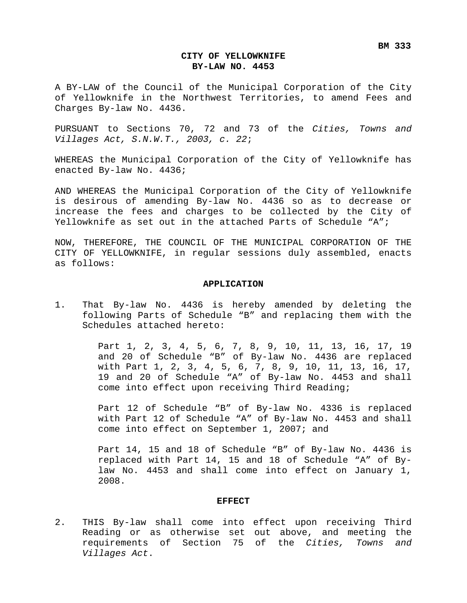### **CITY OF YELLOWKNIFE BY-LAW NO. 4453**

A BY-LAW of the Council of the Municipal Corporation of the City of Yellowknife in the Northwest Territories, to amend Fees and Charges By-law No. 4436.

PURSUANT to Sections 70, 72 and 73 of the *Cities, Towns and Villages Act, S.N.W.T., 2003, c. 22*;

WHEREAS the Municipal Corporation of the City of Yellowknife has enacted By-law No. 4436;

AND WHEREAS the Municipal Corporation of the City of Yellowknife is desirous of amending By-law No. 4436 so as to decrease or increase the fees and charges to be collected by the City of Yellowknife as set out in the attached Parts of Schedule "A";

NOW, THEREFORE, THE COUNCIL OF THE MUNICIPAL CORPORATION OF THE CITY OF YELLOWKNIFE, in regular sessions duly assembled, enacts as follows:

### **APPLICATION**

1. That By-law No. 4436 is hereby amended by deleting the following Parts of Schedule "B" and replacing them with the Schedules attached hereto:

> Part 1, 2, 3, 4, 5, 6, 7, 8, 9, 10, 11, 13, 16, 17, 19 and 20 of Schedule "B" of By-law No. 4436 are replaced with Part 1, 2, 3, 4, 5, 6, 7, 8, 9, 10, 11, 13, 16, 17, 19 and 20 of Schedule "A" of By-law No. 4453 and shall come into effect upon receiving Third Reading;

> Part 12 of Schedule "B" of By-law No. 4336 is replaced with Part 12 of Schedule "A" of By-law No. 4453 and shall come into effect on September 1, 2007; and

> Part 14, 15 and 18 of Schedule "B" of By-law No. 4436 is replaced with Part 14, 15 and 18 of Schedule "A" of Bylaw No. 4453 and shall come into effect on January 1, 2008.

### **EFFECT**

2. THIS By-law shall come into effect upon receiving Third Reading or as otherwise set out above, and meeting the requirements of Section 75 of the *Cities, Towns and Villages Act*.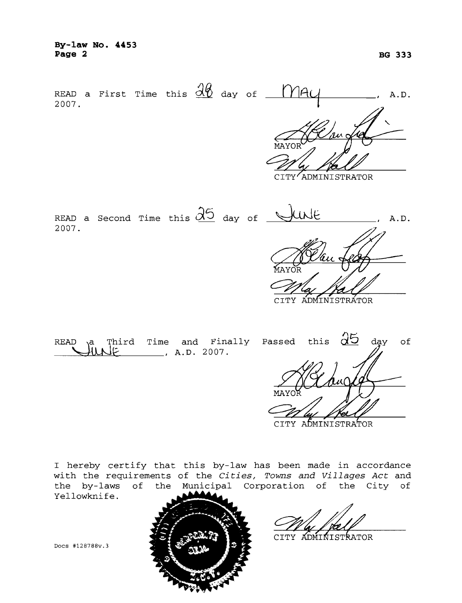By-law No. 4453 Page 2



CITY ADMINISTRATOR

READ a Second Time this  $\partial_0$  day of  $\searrow$ luNE A.D. 2007.

CITY ADMINISTRATOR

Third Time and Finally Passed this  $25$  day of READ ١a ستلله  $\frac{1}{2}$ , A.D. 2007.

CITY ADMINISTRATOR

CITY ADMINISTRATOR

I hereby certify that this by-law has been made in accordance with the requirements of the Cities, Towns and Villages Act and the by-laws of the Municipal Corporation of the City of

Docs #128788v.3

Yellowknife.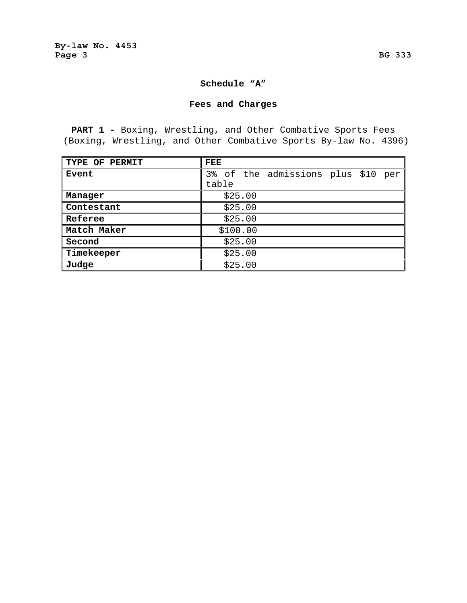### **Schedule "A"**

## **Fees and Charges**

**PART 1 -** Boxing, Wrestling, and Other Combative Sports Fees (Boxing, Wrestling, and Other Combative Sports By-law No. 4396)

| TYPE OF PERMIT | FEE                                |
|----------------|------------------------------------|
| Event          | 3% of the admissions plus \$10 per |
|                | table                              |
| Manager        | \$25.00                            |
| Contestant     | \$25.00                            |
| Referee        | \$25.00                            |
| Match Maker    | \$100.00                           |
| Second         | \$25.00                            |
| Timekeeper     | \$25.00                            |
| Judge          | \$25.00                            |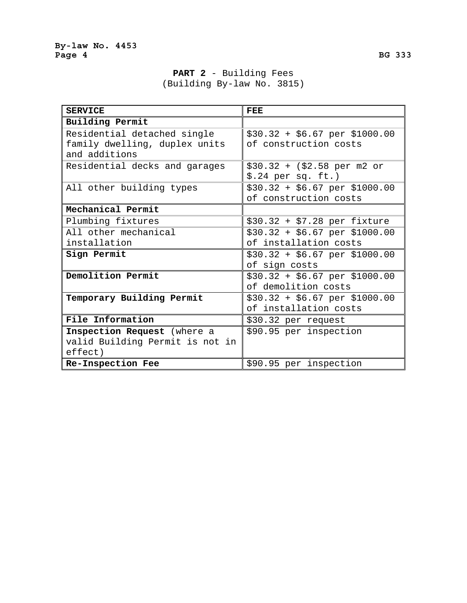**PART 2** - Building Fees (Building By-law No. 3815)

| <b>SERVICE</b>                  | FEE                                    |
|---------------------------------|----------------------------------------|
| Building Permit                 |                                        |
| Residential detached single     | $$30.32 + $6.67$ per \$1000.00         |
| family dwelling, duplex units   | of construction costs                  |
| and additions                   |                                        |
| Residential decks and garages   | $$30.32 + ($2.58 per m2 or$            |
|                                 | $$.24$ per sq. ft.)                    |
| All other building types        | $$30.32 + $6.67$ per \$1000.00         |
|                                 | of construction costs                  |
| Mechanical Permit               |                                        |
| Plumbing fixtures               | $$30.32 + $7.28$ per fixture           |
| All other mechanical            | $$30.32 + $6.67$ per \$1000.00         |
| installation                    | of installation costs                  |
| Sign Permit                     | $$30.32 + $6.67 \text{ per } $1000.00$ |
|                                 | of sign costs                          |
| Demolition Permit               | $$30.32 + $6.67$ per \$1000.00         |
|                                 | of demolition costs                    |
| Temporary Building Permit       | $$30.32 + $6.67$ per \$1000.00         |
|                                 | of installation costs                  |
| File Information                | \$30.32 per request                    |
| Inspection Request (where a     | \$90.95 per inspection                 |
| valid Building Permit is not in |                                        |
| effect)                         |                                        |
| Re-Inspection Fee               | \$90.95 per inspection                 |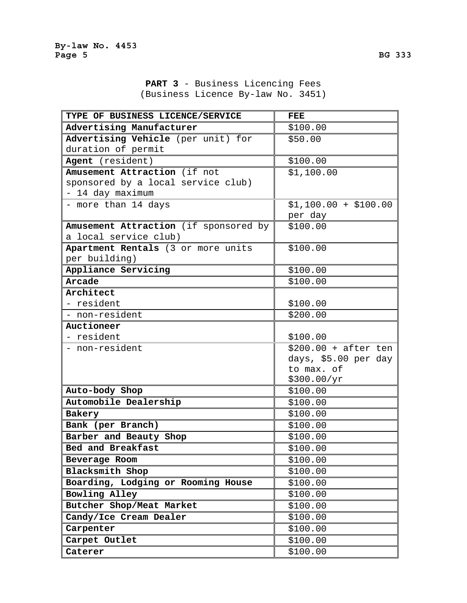**PART 3** - Business Licencing Fees (Business Licence By-law No. 3451)

| TYPE OF BUSINESS LICENCE/SERVICE      | FEE                   |
|---------------------------------------|-----------------------|
| Advertising Manufacturer              | \$100.00              |
| Advertising Vehicle (per unit) for    | \$50.00               |
| duration of permit                    |                       |
| Agent (resident)                      | \$100.00              |
| Amusement Attraction (if not          | \$1,100.00            |
| sponsored by a local service club)    |                       |
| - 14 day maximum                      |                       |
| - more than 14 days                   | $$1,100.00 + $100.00$ |
|                                       | per day               |
| Amusement Attraction (if sponsored by | \$100.00              |
| a local service club)                 |                       |
| Apartment Rentals (3 or more units    | \$100.00              |
| per building)                         |                       |
| Appliance Servicing                   | \$100.00              |
| Arcade                                | \$100.00              |
| Architect                             |                       |
| - resident                            | \$100.00              |
| - non-resident                        | \$200.00              |
| Auctioneer                            |                       |
| - resident                            | \$100.00              |
| - non-resident                        | $$200.00 + after ten$ |
|                                       | days, \$5.00 per day  |
|                                       | to max. of            |
|                                       | \$300.00/yr           |
| Auto-body Shop                        | \$100.00              |
| Automobile Dealership                 | \$100.00              |
| Bakery                                | \$100.00              |
| Bank (per Branch)                     | \$100.00              |
| Barber and Beauty Shop                | \$100.00              |
| Bed and Breakfast                     | \$100.00              |
| Beverage Room                         | \$100.00              |
| Blacksmith Shop                       | \$100.00              |
| Boarding, Lodging or Rooming House    | \$100.00              |
| Bowling Alley                         | \$100.00              |
| Butcher Shop/Meat Market              | \$100.00              |
| Candy/Ice Cream Dealer                | \$100.00              |
| Carpenter                             | \$100.00              |
| Carpet Outlet                         | \$100.00              |
| Caterer                               | \$100.00              |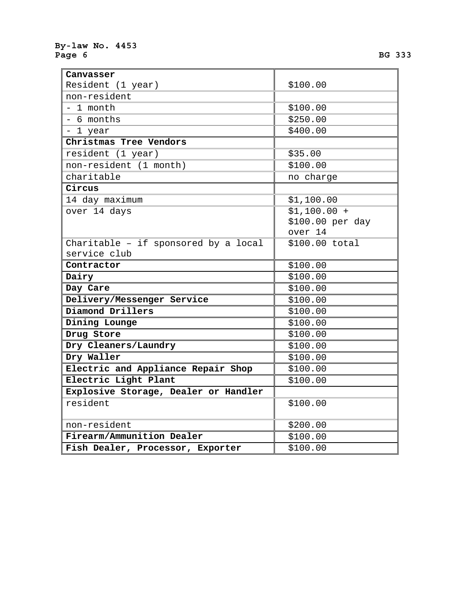### **By-law No. 4453**  Page 6 BG 333 **BG 333**

| Canvasser                            |                  |
|--------------------------------------|------------------|
|                                      |                  |
| Resident (1 year)                    | \$100.00         |
| non-resident                         |                  |
| - 1 month                            | \$100.00         |
| - 6 months                           | \$250.00         |
| - 1 year                             | \$400.00         |
| Christmas Tree Vendors               |                  |
| resident (1 year)                    | \$35.00          |
| non-resident (1 month)               | \$100.00         |
| charitable                           | no charge        |
| Circus                               |                  |
| 14 day maximum                       | \$1,100.00       |
| over 14 days                         | $$1,100.00 +$    |
|                                      | \$100.00 per day |
|                                      | over 14          |
| Charitable - if sponsored by a local | \$100.00 total   |
| service club                         |                  |
|                                      |                  |
| Contractor                           | \$100.00         |
| Dairy                                | \$100.00         |
| Day Care                             | \$100.00         |
| Delivery/Messenger Service           | \$100.00         |
| Diamond Drillers                     | \$100.00         |
| Dining Lounge                        | \$100.00         |
| Drug Store                           | \$100.00         |
| Dry Cleaners/Laundry                 | \$100.00         |
| Dry Waller                           | \$100.00         |
| Electric and Appliance Repair Shop   | \$100.00         |
| Electric Light Plant                 | \$100.00         |
| Explosive Storage, Dealer or Handler |                  |
| resident                             | \$100.00         |
|                                      |                  |
| non-resident                         | \$200.00         |
| Firearm/Ammunition Dealer            | \$100.00         |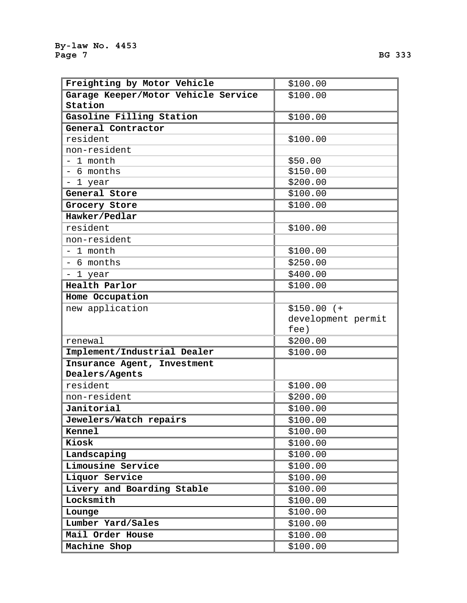| Freighting by Motor Vehicle         | \$100.00           |
|-------------------------------------|--------------------|
| Garage Keeper/Motor Vehicle Service | \$100.00           |
| Station                             |                    |
| Gasoline Filling Station            | \$100.00           |
| General Contractor                  |                    |
| resident                            | \$100.00           |
| non-resident                        |                    |
| - 1 month                           | \$50.00            |
| - 6 months                          | \$150.00           |
| - 1 year                            | \$200.00           |
| General Store                       | \$100.00           |
| Grocery Store                       | \$100.00           |
| Hawker/Pedlar                       |                    |
| resident                            | \$100.00           |
| non-resident                        |                    |
| - 1 month                           | \$100.00           |
| - 6 months                          | \$250.00           |
| - 1 year                            | \$400.00           |
| Health Parlor                       | \$100.00           |
| Home Occupation                     |                    |
| new application                     | $$150.00$ (+       |
|                                     | development permit |
|                                     | fee)               |
| renewal                             | \$200.00           |
| Implement/Industrial Dealer         | \$100.00           |
| Insurance Agent, Investment         |                    |
| Dealers/Agents                      |                    |
| resident                            | \$100.00           |
| non-resident                        | \$200.00           |
| Janitorial                          | \$100.00           |
| Jewelers/Watch repairs              | \$100.00           |
| <b>Kennel</b>                       | \$100.00           |
| Kiosk                               | \$100.00           |
| Landscaping                         | \$100.00           |
| Limousine Service                   | \$100.00           |
| Liquor Service                      | \$100.00           |
| Livery and Boarding Stable          | \$100.00           |
| Locksmith                           | \$100.00           |
| Lounge                              | \$100.00           |
| Lumber Yard/Sales                   | \$100.00           |
| Mail Order House                    | \$100.00           |
| Machine Shop                        | \$100.00           |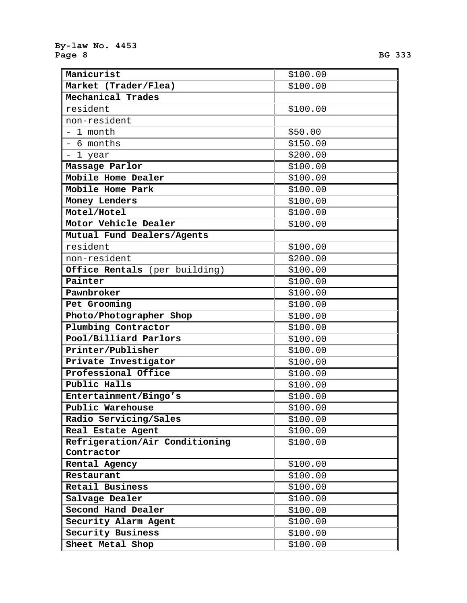| Manicurist                           | \$100.00 |
|--------------------------------------|----------|
| Market (Trader/Flea)                 | \$100.00 |
| Mechanical Trades                    |          |
| resident                             | \$100.00 |
| non-resident                         |          |
| - 1 month                            | \$50.00  |
| - 6 months                           | \$150.00 |
| - 1 year                             | \$200.00 |
| Massage Parlor                       | \$100.00 |
| Mobile Home Dealer                   | \$100.00 |
| Mobile Home Park                     | \$100.00 |
| Money Lenders                        | \$100.00 |
| Motel/Hotel                          | \$100.00 |
| Motor Vehicle Dealer                 | \$100.00 |
| Mutual Fund Dealers/Agents           |          |
| resident                             | \$100.00 |
| non-resident                         | \$200.00 |
| <b>Office Rentals</b> (per building) | \$100.00 |
| Painter                              | \$100.00 |
| Pawnbroker                           | \$100.00 |
| Pet Grooming                         | \$100.00 |
| Photo/Photographer Shop              | \$100.00 |
| Plumbing Contractor                  | \$100.00 |
| Pool/Billiard Parlors                | \$100.00 |
| Printer/Publisher                    | \$100.00 |
| Private Investigator                 | \$100.00 |
| Professional Office                  | \$100.00 |
| Public Halls                         | \$100.00 |
| Entertainment/Bingo's                | \$100.00 |
| Public Warehouse                     | \$100.00 |
| Radio Servicing/Sales                | \$100.00 |
| Real Estate Agent                    | \$100.00 |
| Refrigeration/Air Conditioning       | \$100.00 |
| Contractor                           |          |
| Rental Agency                        | \$100.00 |
| Restaurant                           | \$100.00 |
| Retail Business                      | \$100.00 |
| Salvage Dealer                       | \$100.00 |
| Second Hand Dealer                   | \$100.00 |
| Security Alarm Agent                 | \$100.00 |
| Security Business                    | \$100.00 |
| Sheet Metal Shop                     | \$100.00 |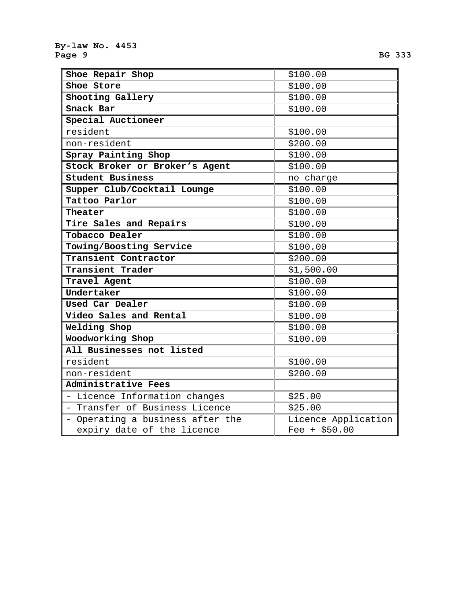| Shoe Repair Shop                 | \$100.00            |
|----------------------------------|---------------------|
| Shoe Store                       | \$100.00            |
| Shooting Gallery                 | \$100.00            |
| Snack Bar                        | \$100.00            |
| Special Auctioneer               |                     |
| resident                         | \$100.00            |
| non-resident                     | \$200.00            |
| Spray Painting Shop              | \$100.00            |
| Stock Broker or Broker's Agent   | \$100.00            |
| Student Business                 | no charge           |
| Supper Club/Cocktail Lounge      | \$100.00            |
| Tattoo Parlor                    | \$100.00            |
| Theater                          | \$100.00            |
| Tire Sales and Repairs           | \$100.00            |
| Tobacco Dealer                   | \$100.00            |
| Towing/Boosting Service          | \$100.00            |
| Transient Contractor             | \$200.00            |
| Transient Trader                 | \$1,500.00          |
| Travel Agent                     | \$100.00            |
| Undertaker                       | \$100.00            |
| Used Car Dealer                  | \$100.00            |
| Video Sales and Rental           | \$100.00            |
| Welding Shop                     | \$100.00            |
| Woodworking Shop                 | \$100.00            |
| All Businesses not listed        |                     |
| resident                         | \$100.00            |
| non-resident                     | \$200.00            |
| Administrative Fees              |                     |
| - Licence Information changes    | \$25.00             |
| - Transfer of Business Licence   | \$25.00             |
| - Operating a business after the | Licence Application |
| expiry date of the licence       | $ree + $50.00$      |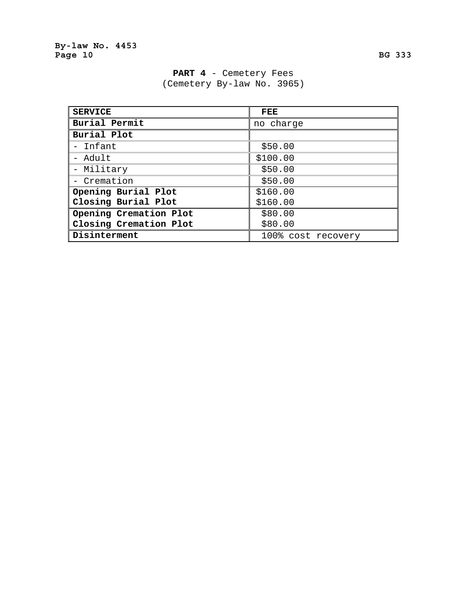| <b>SERVICE</b>         | <b>FEE</b>         |
|------------------------|--------------------|
| Burial Permit          | no charge          |
| Burial Plot            |                    |
| - Infant               | \$50.00            |
| - Adult                | \$100.00           |
| - Military             | \$50.00            |
| - Cremation            | \$50.00            |
| Opening Burial Plot    | \$160.00           |
| Closing Burial Plot    | \$160.00           |
| Opening Cremation Plot | \$80.00            |
| Closing Cremation Plot | \$80.00            |
| Disinterment           | 100% cost recovery |

PART 4 - Cemetery Fees (Cemetery By-law No. 3965)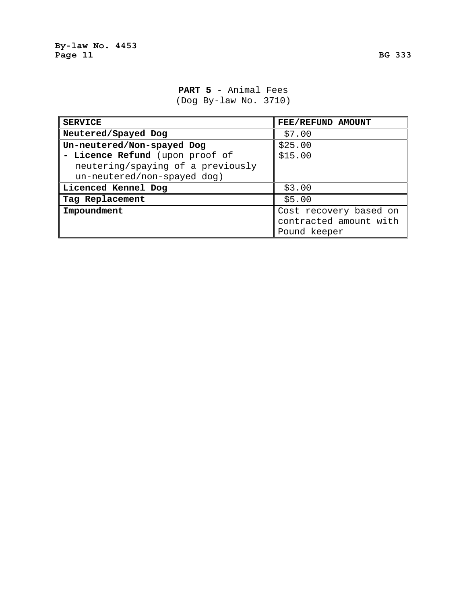# **PART 5** - Animal Fees (Dog By-law No. 3710)

| <b>SERVICE</b>                    | FEE/REFUND AMOUNT      |
|-----------------------------------|------------------------|
| Neutered/Spayed Dog               | \$7.00                 |
| Un-neutered/Non-spayed Dog        | \$25.00                |
| - Licence Refund (upon proof of   | \$15.00                |
| neutering/spaying of a previously |                        |
| un-neutered/non-spayed dog)       |                        |
| Licenced Kennel Dog               | \$3.00                 |
| Tag Replacement                   | \$5.00                 |
| Impoundment                       | Cost recovery based on |
|                                   | contracted amount with |
|                                   | Pound keeper           |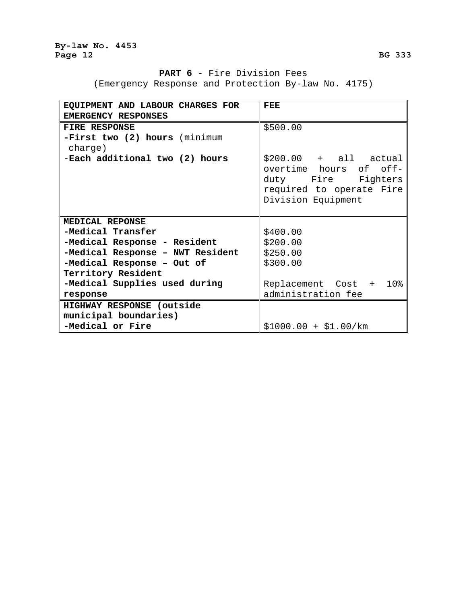# **PART 6** - Fire Division Fees

(Emergency Response and Protection By-law No. 4175)

| EQUIPMENT AND LABOUR CHARGES FOR         | FEE                                                                                                                      |
|------------------------------------------|--------------------------------------------------------------------------------------------------------------------------|
| EMERGENCY RESPONSES                      |                                                                                                                          |
| <b>FIRE RESPONSE</b>                     | \$500.00                                                                                                                 |
| -First two (2) hours (minimum<br>charge) |                                                                                                                          |
| -Each additional two (2) hours           | $$200.00 + all actual$<br>overtime hours of off-<br>duty Fire Fighters<br>required to operate Fire<br>Division Equipment |
| MEDICAL REPONSE                          |                                                                                                                          |
| -Medical Transfer                        | \$400.00                                                                                                                 |
| -Medical Response - Resident             | \$200.00                                                                                                                 |
| -Medical Response - NWT Resident         | \$250.00                                                                                                                 |
| -Medical Response - Out of               | \$300.00                                                                                                                 |
| Territory Resident                       |                                                                                                                          |
| -Medical Supplies used during            | Replacement Cost + 10%                                                                                                   |
| response                                 | administration fee                                                                                                       |
| HIGHWAY RESPONSE (outside                |                                                                                                                          |
| municipal boundaries)                    |                                                                                                                          |
| -Medical or Fire                         | $$1000.00 + $1.00/km$                                                                                                    |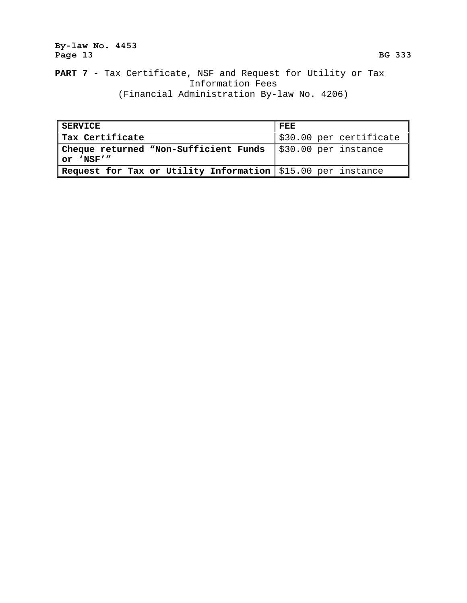# **By-law No. 4453**  Page 13 BG 333

# **PART 7** - Tax Certificate, NSF and Request for Utility or Tax Information Fees (Financial Administration By-law No. 4206)

| <b>SERVICE</b>                                                     | FEE                     |
|--------------------------------------------------------------------|-------------------------|
| Tax Certificate                                                    | \$30.00 per certificate |
| Cheque returned "Non-Sufficient Funds                              | \$30.00 per instance    |
| $or$ 'NSF'"                                                        |                         |
| <b>Request for Tax or Utility Information</b> \$15.00 per instance |                         |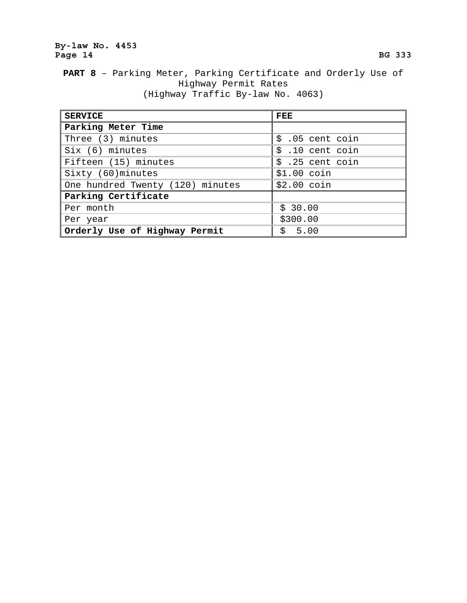# **By-law No. 4453**  Page 14 BG 333

**PART 8** – Parking Meter, Parking Certificate and Orderly Use of Highway Permit Rates (Highway Traffic By-law No. 4063)

| <b>SERVICE</b>                   | <b>FEE</b>       |
|----------------------------------|------------------|
| Parking Meter Time               |                  |
| Three (3) minutes                | $$.05$ cent coin |
| Six (6) minutes                  | $$.10$ cent coin |
| Fifteen (15) minutes             | $$.25$ cent coin |
| Sixty (60) minutes               | $$1.00$ coin     |
| One hundred Twenty (120) minutes | $$2.00$ coin     |
| Parking Certificate              |                  |
| Per month                        | \$30.00          |
| Per year                         | \$300.00         |
| Orderly Use of Highway Permit    | \$5.00           |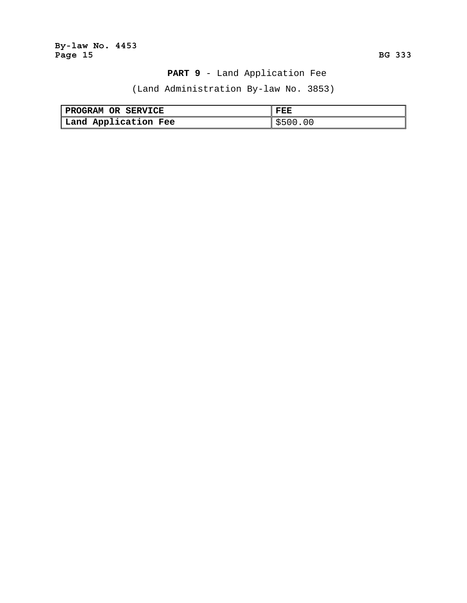**By-law No. 4453**  Page 15 **BG 333** 

# **PART 9** - Land Application Fee

(Land Administration By-law No. 3853)

| PROGRAM OR SERVICE   | FEE      |
|----------------------|----------|
| Land Application Fee | \$500.00 |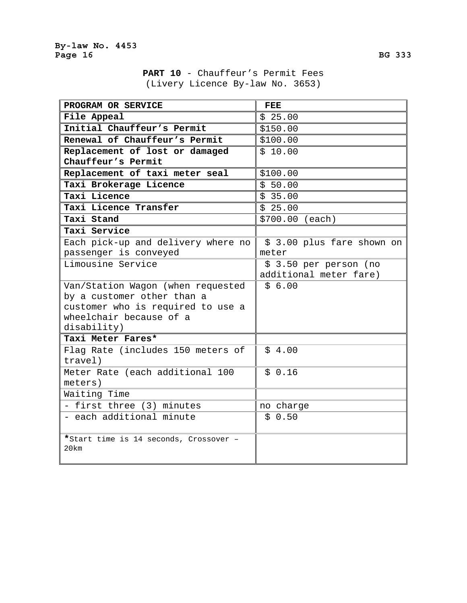| PROGRAM OR SERVICE                     | FEE                        |
|----------------------------------------|----------------------------|
| File Appeal                            | \$25.00                    |
| Initial Chauffeur's Permit             | \$150.00                   |
| Renewal of Chauffeur's Permit          | \$100.00                   |
| Replacement of lost or damaged         | \$10.00                    |
| Chauffeur's Permit                     |                            |
| Replacement of taxi meter seal         | \$100.00                   |
| Taxi Brokerage Licence                 | \$50.00                    |
| Taxi Licence                           | \$35.00                    |
| Taxi Licence Transfer                  | \$25.00                    |
| Taxi Stand                             | \$700.00 (each)            |
| Taxi Service                           |                            |
| Each pick-up and delivery where no     | \$ 3.00 plus fare shown on |
| passenger is conveyed                  | meter                      |
| Limousine Service                      | \$ 3.50 per person (no     |
|                                        | additional meter fare)     |
| Van/Station Wagon (when requested      | \$6.00                     |
| by a customer other than a             |                            |
| customer who is required to use a      |                            |
| wheelchair because of a                |                            |
| disability)                            |                            |
| Taxi Meter Fares*                      |                            |
| Flag Rate (includes 150 meters of      | \$4.00                     |
| travel)                                |                            |
| Meter Rate (each additional 100        | \$0.16                     |
| meters)                                |                            |
| Waiting Time                           |                            |
| - first three (3) minutes              | no charge                  |
| - each additional minute               | \$0.50                     |
|                                        |                            |
| *Start time is 14 seconds, Crossover - |                            |
| 20km                                   |                            |
|                                        |                            |

**PART 10** - Chauffeur's Permit Fees (Livery Licence By-law No. 3653)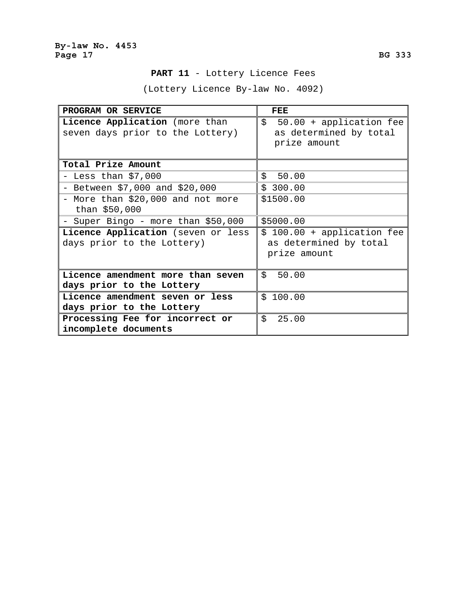# **PART 11** - Lottery Licence Fees

(Lottery Licence By-law No. 4092)

| PROGRAM OR SERVICE                                                 | FEE                                                                   |
|--------------------------------------------------------------------|-----------------------------------------------------------------------|
| Licence Application (more than<br>seven days prior to the Lottery) | $$50.00 + application fee$<br>as determined by total<br>prize amount  |
| Total Prize Amount                                                 |                                                                       |
| - Less than $$7,000$                                               | \$50.00                                                               |
| - Between $$7,000$ and $$20,000$                                   | \$300.00                                                              |
| - More than \$20,000 and not more<br>than \$50,000                 | \$1500.00                                                             |
| - Super Bingo - more than \$50,000                                 | \$5000.00                                                             |
| Licence Application (seven or less<br>days prior to the Lottery)   | \$ 100.00 + application fee<br>as determined by total<br>prize amount |
| Licence amendment more than seven                                  | \$<br>50.00                                                           |
| days prior to the Lottery                                          |                                                                       |
| Licence amendment seven or less<br>days prior to the Lottery       | \$100.00                                                              |
| Processing Fee for incorrect or<br>incomplete documents            | \$<br>25.00                                                           |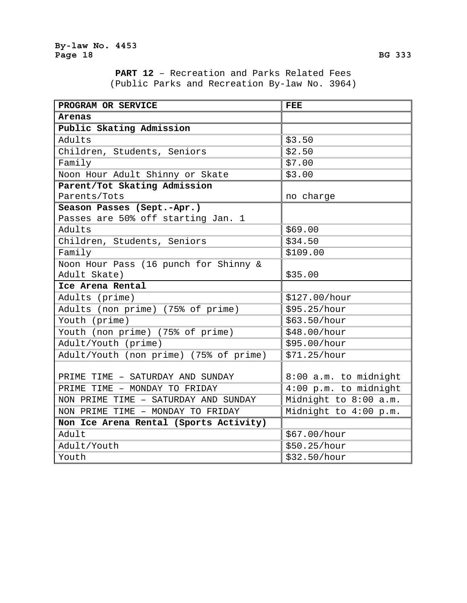**PART 12** – Recreation and Parks Related Fees (Public Parks and Recreation By-law No. 3964)

| PROGRAM OR SERVICE                     | <b>FEE</b>            |
|----------------------------------------|-----------------------|
| Arenas                                 |                       |
| Public Skating Admission               |                       |
| Adults                                 | \$3.50                |
| Children, Students, Seniors            | \$2.50                |
| Family                                 | \$7.00                |
| Noon Hour Adult Shinny or Skate        | \$3.00                |
| Parent/Tot Skating Admission           |                       |
| Parents/Tots                           | no charge             |
| Season Passes (Sept.-Apr.)             |                       |
| Passes are 50% off starting Jan. 1     |                       |
| Adults                                 | \$69.00               |
| Children, Students, Seniors            | \$34.50               |
| Family                                 | \$109.00              |
| Noon Hour Pass (16 punch for Shinny &  |                       |
| Adult Skate)                           | \$35.00               |
| Ice Arena Rental                       |                       |
| Adults (prime)                         | \$127.00/hour         |
| Adults (non prime) (75% of prime)      | \$95.25/hour          |
| Youth (prime)                          | \$63.50/hour          |
| Youth (non prime) (75% of prime)       | \$48.00/hour          |
| Adult/Youth (prime)                    | \$95.00/hour          |
| Adult/Youth (non prime) (75% of prime) | \$71.25/hour          |
|                                        |                       |
| PRIME TIME - SATURDAY AND SUNDAY       | 8:00 a.m. to midnight |
| PRIME TIME - MONDAY TO FRIDAY          | 4:00 p.m. to midnight |
| NON PRIME TIME - SATURDAY AND SUNDAY   | Midnight to 8:00 a.m. |
| NON PRIME TIME - MONDAY TO FRIDAY      | Midnight to 4:00 p.m. |
| Non Ice Arena Rental (Sports Activity) |                       |
| Adult                                  | \$67.00/hour          |
| Adult/Youth                            | \$50.25/hour          |
| Youth                                  | \$32.50/hour          |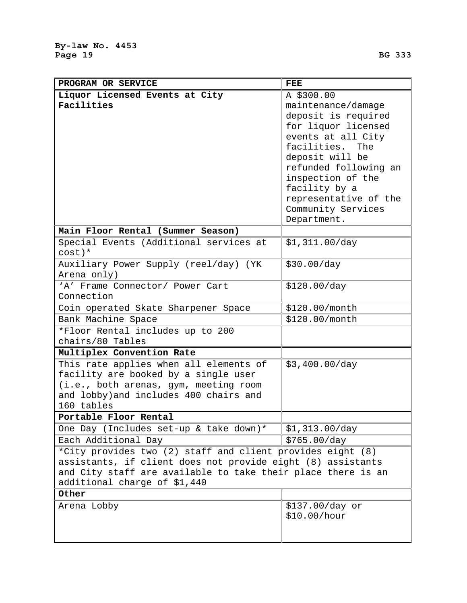| PROGRAM OR SERVICE                                                             | <b>FEE</b>                             |
|--------------------------------------------------------------------------------|----------------------------------------|
| Liquor Licensed Events at City                                                 | A \$300.00                             |
| Facilities                                                                     | maintenance/damage                     |
|                                                                                | deposit is required                    |
|                                                                                | for liquor licensed                    |
|                                                                                | events at all City                     |
|                                                                                | facilities.<br>The                     |
|                                                                                | deposit will be                        |
|                                                                                | refunded following an                  |
|                                                                                | inspection of the                      |
|                                                                                | facility by a<br>representative of the |
|                                                                                | Community Services                     |
|                                                                                | Department.                            |
| Main Floor Rental (Summer Season)                                              |                                        |
| Special Events (Additional services at                                         | \$1,311.00/day                         |
| $cost$ )*                                                                      |                                        |
| Auxiliary Power Supply (reel/day) (YK                                          | \$30.00/day                            |
| Arena only)                                                                    |                                        |
| 'A' Frame Connector/ Power Cart<br>Connection                                  | \$120.00/day                           |
|                                                                                |                                        |
| Coin operated Skate Sharpener Space                                            | \$120.00/month                         |
| Bank Machine Space                                                             | \$120.00/month                         |
| *Floor Rental includes up to 200<br>chairs/80 Tables                           |                                        |
| Multiplex Convention Rate                                                      |                                        |
|                                                                                |                                        |
| This rate applies when all elements of<br>facility are booked by a single user | \$3,400.00/day                         |
| (i.e., both arenas, gym, meeting room                                          |                                        |
| and lobby) and includes 400 chairs and                                         |                                        |
| 160 tables                                                                     |                                        |
| Portable Floor Rental                                                          |                                        |
| One Day (Includes set-up & take down)*                                         | \$1,313.00/day                         |
| Each Additional Day                                                            | \$765.00/day                           |
| *City provides two (2) staff and client provides eight (8)                     |                                        |
| assistants, if client does not provide eight (8) assistants                    |                                        |
| and City staff are available to take their place there is an                   |                                        |
| additional charge of \$1,440                                                   |                                        |
| Other                                                                          |                                        |
| Arena Lobby                                                                    | \$137.00/day or                        |
|                                                                                | \$10.00/hour                           |
|                                                                                |                                        |
|                                                                                |                                        |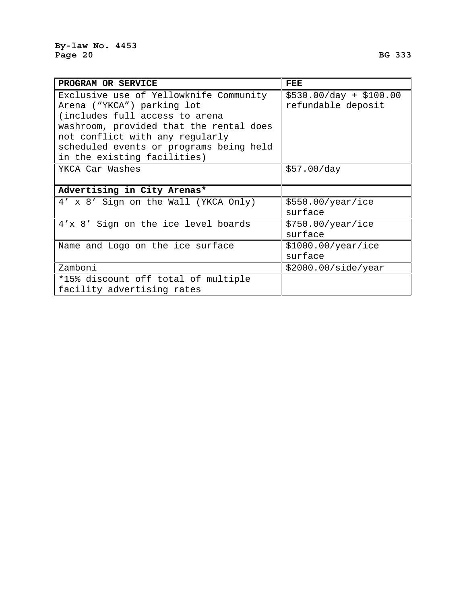| PROGRAM OR SERVICE                      | FEE                     |
|-----------------------------------------|-------------------------|
| Exclusive use of Yellowknife Community  | $$530.00/day + $100.00$ |
| Arena ("YKCA") parking lot              | refundable deposit      |
| (includes full access to arena          |                         |
| washroom, provided that the rental does |                         |
| not conflict with any regularly         |                         |
| scheduled events or programs being held |                         |
| in the existing facilities)             |                         |
| YKCA Car Washes                         | \$57.00/day             |
|                                         |                         |
| Advertising in City Arenas*             |                         |
| 4' x 8' Sign on the Wall (YKCA Only)    | \$550.00/year/ice       |
|                                         | surface                 |
| 4'x 8' Sign on the ice level boards     | \$750.00/year/ice       |
|                                         | surface                 |
| Name and Logo on the ice surface        | \$1000.00/year/ice      |
|                                         | surface                 |
| Zamboni                                 | \$2000.00/side/year     |
| *15% discount off total of multiple     |                         |
| facility advertising rates              |                         |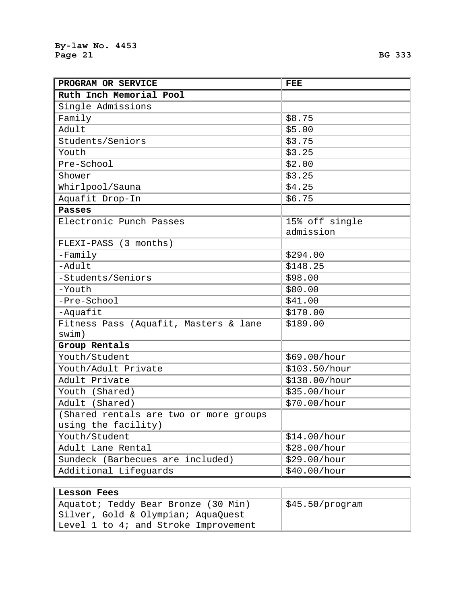| Ruth Inch Memorial Pool<br>Single Admissions<br>\$8.75<br>Family<br>Adult<br>\$5.00<br>Students/Seniors<br>\$3.75<br>\$3.25<br>Youth<br>Pre-School<br>\$2.00<br>\$3.25<br>Shower<br>Whirlpool/Sauna<br>\$4.25<br>Aquafit Drop-In<br>\$6.75<br><b>Passes</b><br>Electronic Punch Passes<br>15% off single<br>admission<br>FLEXI-PASS (3 months)<br>\$294.00<br>$-Family$<br>$-$ Adult<br>\$148.25<br>-Students/Seniors<br>\$98.00<br>-Youth<br>\$80.00<br>-Pre-School<br>\$41.00<br>-Aquafit<br>\$170.00<br>Fitness Pass (Aquafit, Masters & lane<br>\$189.00<br>swim)<br>Group Rentals<br>Youth/Student<br>\$69.00/hour<br>Youth/Adult Private<br>\$103.50/hour<br>Adult Private<br>\$138.00/hour<br>Youth (Shared)<br>\$35.00/hour<br>Adult (Shared)<br>\$70.00/hour<br>(Shared rentals are two or more groups<br>using the facility)<br>Youth/Student<br>\$14.00/hour<br>Adult Lane Rental<br>\$28.00/hour<br>Sundeck (Barbecues are included)<br>\$29.00/hour | PROGRAM OR SERVICE    | FEE          |
|------------------------------------------------------------------------------------------------------------------------------------------------------------------------------------------------------------------------------------------------------------------------------------------------------------------------------------------------------------------------------------------------------------------------------------------------------------------------------------------------------------------------------------------------------------------------------------------------------------------------------------------------------------------------------------------------------------------------------------------------------------------------------------------------------------------------------------------------------------------------------------------------------------------------------------------------------------------|-----------------------|--------------|
|                                                                                                                                                                                                                                                                                                                                                                                                                                                                                                                                                                                                                                                                                                                                                                                                                                                                                                                                                                  |                       |              |
|                                                                                                                                                                                                                                                                                                                                                                                                                                                                                                                                                                                                                                                                                                                                                                                                                                                                                                                                                                  |                       |              |
|                                                                                                                                                                                                                                                                                                                                                                                                                                                                                                                                                                                                                                                                                                                                                                                                                                                                                                                                                                  |                       |              |
|                                                                                                                                                                                                                                                                                                                                                                                                                                                                                                                                                                                                                                                                                                                                                                                                                                                                                                                                                                  |                       |              |
|                                                                                                                                                                                                                                                                                                                                                                                                                                                                                                                                                                                                                                                                                                                                                                                                                                                                                                                                                                  |                       |              |
|                                                                                                                                                                                                                                                                                                                                                                                                                                                                                                                                                                                                                                                                                                                                                                                                                                                                                                                                                                  |                       |              |
|                                                                                                                                                                                                                                                                                                                                                                                                                                                                                                                                                                                                                                                                                                                                                                                                                                                                                                                                                                  |                       |              |
|                                                                                                                                                                                                                                                                                                                                                                                                                                                                                                                                                                                                                                                                                                                                                                                                                                                                                                                                                                  |                       |              |
|                                                                                                                                                                                                                                                                                                                                                                                                                                                                                                                                                                                                                                                                                                                                                                                                                                                                                                                                                                  |                       |              |
|                                                                                                                                                                                                                                                                                                                                                                                                                                                                                                                                                                                                                                                                                                                                                                                                                                                                                                                                                                  |                       |              |
|                                                                                                                                                                                                                                                                                                                                                                                                                                                                                                                                                                                                                                                                                                                                                                                                                                                                                                                                                                  |                       |              |
|                                                                                                                                                                                                                                                                                                                                                                                                                                                                                                                                                                                                                                                                                                                                                                                                                                                                                                                                                                  |                       |              |
|                                                                                                                                                                                                                                                                                                                                                                                                                                                                                                                                                                                                                                                                                                                                                                                                                                                                                                                                                                  |                       |              |
|                                                                                                                                                                                                                                                                                                                                                                                                                                                                                                                                                                                                                                                                                                                                                                                                                                                                                                                                                                  |                       |              |
|                                                                                                                                                                                                                                                                                                                                                                                                                                                                                                                                                                                                                                                                                                                                                                                                                                                                                                                                                                  |                       |              |
|                                                                                                                                                                                                                                                                                                                                                                                                                                                                                                                                                                                                                                                                                                                                                                                                                                                                                                                                                                  |                       |              |
|                                                                                                                                                                                                                                                                                                                                                                                                                                                                                                                                                                                                                                                                                                                                                                                                                                                                                                                                                                  |                       |              |
|                                                                                                                                                                                                                                                                                                                                                                                                                                                                                                                                                                                                                                                                                                                                                                                                                                                                                                                                                                  |                       |              |
|                                                                                                                                                                                                                                                                                                                                                                                                                                                                                                                                                                                                                                                                                                                                                                                                                                                                                                                                                                  |                       |              |
|                                                                                                                                                                                                                                                                                                                                                                                                                                                                                                                                                                                                                                                                                                                                                                                                                                                                                                                                                                  |                       |              |
|                                                                                                                                                                                                                                                                                                                                                                                                                                                                                                                                                                                                                                                                                                                                                                                                                                                                                                                                                                  |                       |              |
|                                                                                                                                                                                                                                                                                                                                                                                                                                                                                                                                                                                                                                                                                                                                                                                                                                                                                                                                                                  |                       |              |
|                                                                                                                                                                                                                                                                                                                                                                                                                                                                                                                                                                                                                                                                                                                                                                                                                                                                                                                                                                  |                       |              |
|                                                                                                                                                                                                                                                                                                                                                                                                                                                                                                                                                                                                                                                                                                                                                                                                                                                                                                                                                                  |                       |              |
|                                                                                                                                                                                                                                                                                                                                                                                                                                                                                                                                                                                                                                                                                                                                                                                                                                                                                                                                                                  |                       |              |
|                                                                                                                                                                                                                                                                                                                                                                                                                                                                                                                                                                                                                                                                                                                                                                                                                                                                                                                                                                  |                       |              |
|                                                                                                                                                                                                                                                                                                                                                                                                                                                                                                                                                                                                                                                                                                                                                                                                                                                                                                                                                                  |                       |              |
|                                                                                                                                                                                                                                                                                                                                                                                                                                                                                                                                                                                                                                                                                                                                                                                                                                                                                                                                                                  |                       |              |
|                                                                                                                                                                                                                                                                                                                                                                                                                                                                                                                                                                                                                                                                                                                                                                                                                                                                                                                                                                  |                       |              |
|                                                                                                                                                                                                                                                                                                                                                                                                                                                                                                                                                                                                                                                                                                                                                                                                                                                                                                                                                                  |                       |              |
|                                                                                                                                                                                                                                                                                                                                                                                                                                                                                                                                                                                                                                                                                                                                                                                                                                                                                                                                                                  |                       |              |
|                                                                                                                                                                                                                                                                                                                                                                                                                                                                                                                                                                                                                                                                                                                                                                                                                                                                                                                                                                  |                       |              |
|                                                                                                                                                                                                                                                                                                                                                                                                                                                                                                                                                                                                                                                                                                                                                                                                                                                                                                                                                                  | Additional Lifeguards | \$40.00/hour |

| Lesson Fees                          |                             |
|--------------------------------------|-----------------------------|
| Aquatot; Teddy Bear Bronze (30 Min)  | $\parallel$ \$45.50/program |
| Silver, Gold & Olympian; AquaQuest   |                             |
| Level 1 to 4; and Stroke Improvement |                             |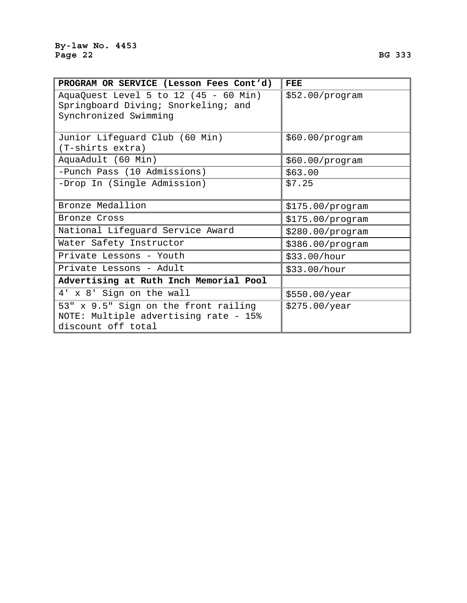| PROGRAM OR SERVICE (Lesson Fees Cont'd)                                                               | <b>FEE</b>       |
|-------------------------------------------------------------------------------------------------------|------------------|
| AquaQuest Level 5 to 12 (45 - 60 Min)<br>Springboard Diving; Snorkeling; and<br>Synchronized Swimming | \$52.00/program  |
|                                                                                                       |                  |
| Junior Lifeguard Club (60 Min)                                                                        | \$60.00/program  |
| (T-shirts extra)                                                                                      |                  |
| AquaAdult (60 Min)                                                                                    | \$60.00/program  |
| -Punch Pass (10 Admissions)                                                                           | \$63.00          |
| -Drop In (Single Admission)                                                                           | \$7.25           |
|                                                                                                       |                  |
| Bronze Medallion                                                                                      | \$175.00/program |
| Bronze Cross                                                                                          | \$175.00/program |
| National Lifeguard Service Award                                                                      | \$280.00/program |
| Water Safety Instructor                                                                               | \$386.00/program |
| Private Lessons - Youth                                                                               | \$33.00/hour     |
| Private Lessons - Adult                                                                               | \$33.00/hour     |
| Advertising at Ruth Inch Memorial Pool                                                                |                  |
| 4' x 8' Sign on the wall                                                                              | \$550.00/year    |
| 53" x 9.5" Sign on the front railing                                                                  | \$275.00/year    |
| NOTE: Multiple advertising rate - 15%                                                                 |                  |
| discount off total                                                                                    |                  |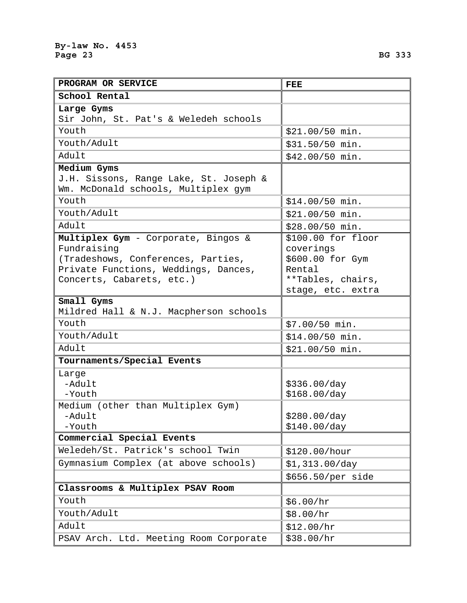| PROGRAM OR SERVICE                                                                                                                                                          | FEE                                                                                                      |
|-----------------------------------------------------------------------------------------------------------------------------------------------------------------------------|----------------------------------------------------------------------------------------------------------|
| School Rental                                                                                                                                                               |                                                                                                          |
| Large Gyms                                                                                                                                                                  |                                                                                                          |
| Sir John, St. Pat's & Weledeh schools                                                                                                                                       |                                                                                                          |
| Youth                                                                                                                                                                       | \$21.00/50 min.                                                                                          |
| Youth/Adult                                                                                                                                                                 | \$31.50/50 min.                                                                                          |
| Adult                                                                                                                                                                       | \$42.00/50 min.                                                                                          |
| Medium Gyms                                                                                                                                                                 |                                                                                                          |
| J.H. Sissons, Range Lake, St. Joseph &<br>Wm. McDonald schools, Multiplex gym                                                                                               |                                                                                                          |
| Youth                                                                                                                                                                       | \$14.00/50 min.                                                                                          |
| Youth/Adult                                                                                                                                                                 | \$21.00/50 min.                                                                                          |
| Adult                                                                                                                                                                       | \$28.00/50 min.                                                                                          |
| Multiplex Gym - Corporate, Bingos &<br>Fundraising<br>(Tradeshows, Conferences, Parties,<br>Private Functions, Weddings, Dances,<br>Concerts, Cabarets, etc.)<br>Small Gyms | $$100.00$ for floor<br>coverings<br>\$600.00 for Gym<br>Rental<br>**Tables, chairs,<br>stage, etc. extra |
| Mildred Hall & N.J. Macpherson schools                                                                                                                                      |                                                                                                          |
| Youth                                                                                                                                                                       | \$7.00/50 min.                                                                                           |
| Youth/Adult                                                                                                                                                                 | \$14.00/50 min.                                                                                          |
| Adult                                                                                                                                                                       | \$21.00/50 min.                                                                                          |
| Tournaments/Special Events                                                                                                                                                  |                                                                                                          |
| Large<br>-Adult<br>-Youth                                                                                                                                                   | \$336.00/day<br>\$168.00/day                                                                             |
| Medium (other than Multiplex Gym)<br>-Adult<br>-Youth                                                                                                                       | \$280.00/day<br>\$140.00/day                                                                             |
| Commercial Special Events                                                                                                                                                   |                                                                                                          |
| Weledeh/St. Patrick's school Twin                                                                                                                                           | \$120.00/hour                                                                                            |

| Adult                                                                                                                                                         | \$42.00/50 min.                                                                                          |
|---------------------------------------------------------------------------------------------------------------------------------------------------------------|----------------------------------------------------------------------------------------------------------|
| Medium Gyms<br>J.H. Sissons, Range Lake, St. Joseph &<br>Wm. McDonald schools, Multiplex gym                                                                  |                                                                                                          |
| Youth                                                                                                                                                         | $$14.00/50$ min.                                                                                         |
| Youth/Adult                                                                                                                                                   | \$21.00/50 min.                                                                                          |
| Adult                                                                                                                                                         | \$28.00/50 min.                                                                                          |
| Multiplex Gym - Corporate, Bingos &<br>Fundraising<br>(Tradeshows, Conferences, Parties,<br>Private Functions, Weddings, Dances,<br>Concerts, Cabarets, etc.) | $$100.00$ for floor<br>coverings<br>\$600.00 for Gym<br>Rental<br>**Tables, chairs,<br>stage, etc. extra |
| Small Gyms<br>Mildred Hall & N.J. Macpherson schools                                                                                                          |                                                                                                          |
| Youth                                                                                                                                                         | \$7.00/50 min.                                                                                           |
| Youth/Adult                                                                                                                                                   | \$14.00/50 min.                                                                                          |
| Adult                                                                                                                                                         | \$21.00/50 min.                                                                                          |
| Tournaments/Special Events                                                                                                                                    |                                                                                                          |
| Large<br>-Adult<br>-Youth                                                                                                                                     | \$336.00/day<br>\$168.00/day                                                                             |
| Medium (other than Multiplex Gym)<br>-Adult                                                                                                                   | \$280.00/day                                                                                             |

 $-Y$ o **Commercial Special Events**  Weledeh/St. Patrick's school Twin | \$120.00/hour Gymnasium Complex (at above schools)  $\|\xi\|$ ,313.00/day \$656.50/per side **Classrooms & Multiplex PSAV Room**  Youth  $\int$  \$6.00/hr Youth/Adult  $\int$  \$8.00/hr Adult  $\int \frac{1}{2} \cdot 12.00/hr$ PSAV Arch. Ltd. Meeting Room Corporate \$38.00/hr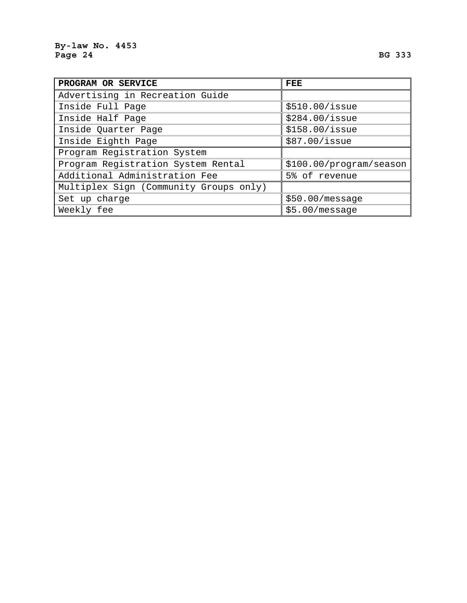| PROGRAM OR SERVICE                     | $_{\rm{FEE}}$           |
|----------------------------------------|-------------------------|
| Advertising in Recreation Guide        |                         |
| Inside Full Page                       | \$510.00/issue          |
| Inside Half Page                       | \$284.00/issue          |
| Inside Quarter Page                    | $$158.00/$ issue        |
| Inside Eighth Page                     | \$87.00/issue           |
| Program Registration System            |                         |
| Program Registration System Rental     | \$100.00/program/season |
| Additional Administration Fee          | 5% of revenue           |
| Multiplex Sign (Community Groups only) |                         |
| Set up charge                          | \$50.00/message         |
| Weekly fee                             | \$5.00/message          |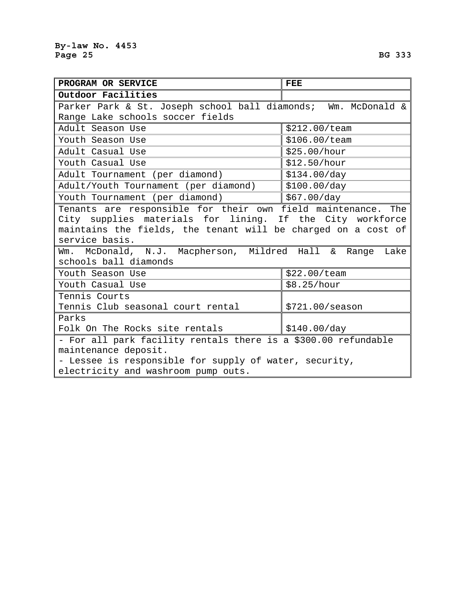| PROGRAM OR SERVICE                                                                                                                                                                                                                                                       | FEE                        |  |  |  |
|--------------------------------------------------------------------------------------------------------------------------------------------------------------------------------------------------------------------------------------------------------------------------|----------------------------|--|--|--|
| Outdoor Facilities                                                                                                                                                                                                                                                       |                            |  |  |  |
| Parker Park & St. Joseph school ball diamonds; Wm. McDonald &                                                                                                                                                                                                            |                            |  |  |  |
| Range Lake schools soccer fields                                                                                                                                                                                                                                         |                            |  |  |  |
| Adult Season Use                                                                                                                                                                                                                                                         | \$212.00/team              |  |  |  |
| Youth Season Use                                                                                                                                                                                                                                                         | \$106.00/team              |  |  |  |
| Adult Casual Use                                                                                                                                                                                                                                                         | \$25.00/hour               |  |  |  |
| Youth Casual Use                                                                                                                                                                                                                                                         | \$12.50/hour               |  |  |  |
| Adult Tournament (per diamond)                                                                                                                                                                                                                                           | \$134.00/day               |  |  |  |
| Adult/Youth Tournament (per diamond)                                                                                                                                                                                                                                     | \$100.00/day               |  |  |  |
| Youth Tournament (per diamond)                                                                                                                                                                                                                                           | \$67.00/day                |  |  |  |
| Tenants are responsible for their own field maintenance. The<br>City supplies materials for lining. If the City workforce<br>maintains the fields, the tenant will be charged on a cost of<br>service basis.<br>Wm. McDonald, N.J. Macpherson, Mildred Hall & Range Lake |                            |  |  |  |
| schools ball diamonds                                                                                                                                                                                                                                                    |                            |  |  |  |
| Youth Season Use                                                                                                                                                                                                                                                         | \$22.00/team               |  |  |  |
| Youth Casual Use                                                                                                                                                                                                                                                         | \$8.25/hour                |  |  |  |
| Tennis Courts                                                                                                                                                                                                                                                            |                            |  |  |  |
| Tennis Club seasonal court rental                                                                                                                                                                                                                                        | \$721.00/ season           |  |  |  |
| Parks                                                                                                                                                                                                                                                                    |                            |  |  |  |
| Folk On The Rocks site rentals                                                                                                                                                                                                                                           | $\frac{1}{2}$ \$140.00/day |  |  |  |
| - For all park facility rentals there is a \$300.00 refundable                                                                                                                                                                                                           |                            |  |  |  |
| maintenance deposit.                                                                                                                                                                                                                                                     |                            |  |  |  |
| - Lessee is responsible for supply of water, security,                                                                                                                                                                                                                   |                            |  |  |  |
| electricity and washroom pump outs.                                                                                                                                                                                                                                      |                            |  |  |  |

 $\overline{\phantom{0}}$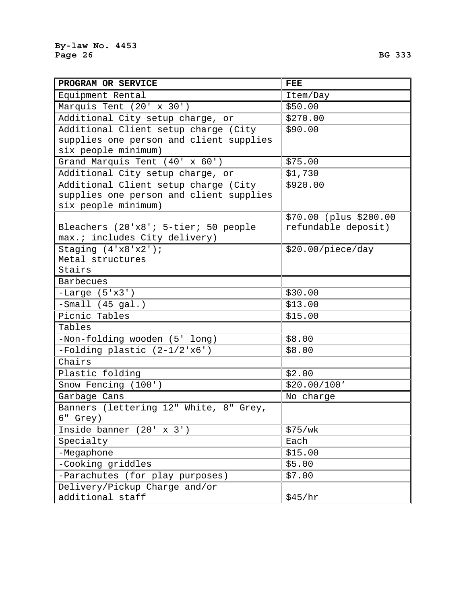| PROGRAM OR SERVICE                         | <b>FEE</b>             |
|--------------------------------------------|------------------------|
| Equipment Rental                           | Item/Day               |
| Marquis Tent (20' x 30')                   | \$50.00                |
| Additional City setup charge, or           | \$270.00               |
| Additional Client setup charge (City       | \$90.00                |
| supplies one person and client supplies    |                        |
| six people minimum)                        |                        |
| Grand Marquis Tent (40' x 60')             | \$75.00                |
| Additional City setup charge, or           | \$1,730                |
| Additional Client setup charge (City       | \$920.00               |
| supplies one person and client supplies    |                        |
| six people minimum)                        |                        |
|                                            | \$70.00 (plus \$200.00 |
| Bleachers (20'x8'; 5-tier; 50 people       | refundable deposit)    |
| max.; includes City delivery)              |                        |
| Staging $(4'x8'x2')$ ;<br>Metal structures | \$20.00/piece/day      |
| Stairs                                     |                        |
| <b>Barbecues</b>                           |                        |
| $-Large (5'x3')$                           | \$30.00                |
| $-Small (45 gal.)$                         | \$13.00                |
| Picnic Tables                              | \$15.00                |
| Tables                                     |                        |
| -Non-folding wooden (5' long)              | \$8.00                 |
| -Folding plastic (2-1/2'x6')               | \$8.00                 |
| Chairs                                     |                        |
| Plastic folding                            | \$2.00                 |
| Snow Fencing (100')                        | \$20.00/100'           |
| Garbage Cans                               | No charge              |
| Banners (lettering 12" White, 8" Grey,     |                        |
| 6" Grey)                                   |                        |
| Inside banner $(20' \times 3')$            | \$75/wk                |
| Specialty                                  | Each                   |
| -Megaphone                                 | \$15.00                |
| -Cooking griddles                          | \$5.00                 |
| -Parachutes (for play purposes)            | \$7.00                 |
| Delivery/Pickup Charge and/or              |                        |
| additional staff                           | \$45/hr                |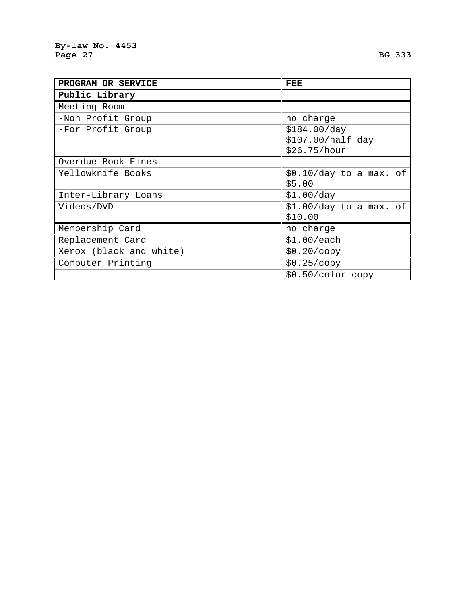| PROGRAM OR SERVICE      | FEE                      |  |  |  |
|-------------------------|--------------------------|--|--|--|
| Public Library          |                          |  |  |  |
| Meeting Room            |                          |  |  |  |
| -Non Profit Group       | no charge                |  |  |  |
| -For Profit Group       | \$184.00/day             |  |  |  |
|                         | \$107.00/half day        |  |  |  |
|                         | \$26.75/hour             |  |  |  |
| Overdue Book Fines      |                          |  |  |  |
| Yellowknife Books       | $$0.10/day$ to a max. of |  |  |  |
|                         | \$5.00                   |  |  |  |
| Inter-Library Loans     | \$1.00/day               |  |  |  |
| Videos/DVD              | $$1.00/day$ to a max. of |  |  |  |
|                         | \$10.00                  |  |  |  |
| Membership Card         | no charge                |  |  |  |
| Replacement Card        | \$1.00/each              |  |  |  |
| Xerox (black and white) | \$0.20/copy              |  |  |  |
| Computer Printing       | \$0.25/copy              |  |  |  |
|                         | $$0.50/color$ copy       |  |  |  |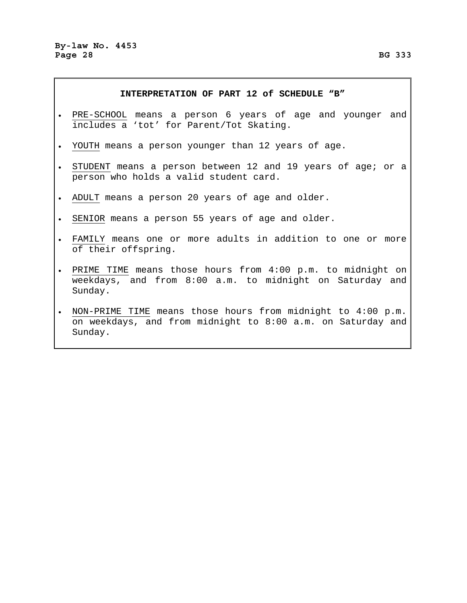### **INTERPRETATION OF PART 12 of SCHEDULE "B"**

- PRE-SCHOOL means a person 6 years of age and younger and includes a 'tot' for Parent/Tot Skating.
- YOUTH means a person younger than 12 years of age.
- STUDENT means a person between 12 and 19 years of age; or a person who holds a valid student card.
- ADULT means a person 20 years of age and older.
- SENIOR means a person 55 years of age and older.
- FAMILY means one or more adults in addition to one or more of their offspring.
- PRIME TIME means those hours from 4:00 p.m. to midnight on weekdays, and from 8:00 a.m. to midnight on Saturday and Sunday.
- NON-PRIME TIME means those hours from midnight to 4:00 p.m. on weekdays, and from midnight to 8:00 a.m. on Saturday and Sunday.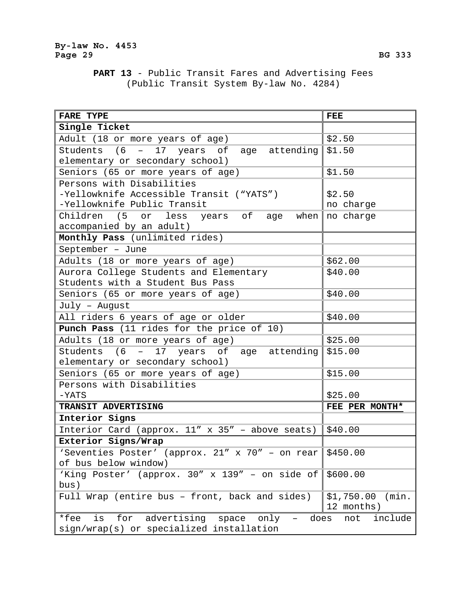# **PART 13** - Public Transit Fares and Advertising Fees (Public Transit System By-law No. 4284)

| <b>FARE TYPE</b>                                          | <b>FEE</b>          |
|-----------------------------------------------------------|---------------------|
| Single Ticket                                             |                     |
| Adult (18 or more years of age)                           | \$2.50              |
| Students (6<br>- 17 years of age attending                | \$1.50              |
| elementary or secondary school)                           |                     |
| Seniors (65 or more years of age)                         | \$1.50              |
| Persons with Disabilities                                 |                     |
| -Yellowknife Accessible Transit ("YATS")                  | \$2.50              |
| -Yellowknife Public Transit                               | no charge           |
| Children (5 or less years of age<br>when                  | no charge           |
| accompanied by an adult)                                  |                     |
| Monthly Pass (unlimited rides)                            |                     |
| September - June                                          |                     |
| Adults (18 or more years of age)                          | \$62.00             |
| Aurora College Students and Elementary                    | \$40.00             |
| Students with a Student Bus Pass                          |                     |
| Seniors (65 or more years of age)                         | \$40.00             |
| July - August                                             |                     |
| All riders 6 years of age or older                        | \$40.00             |
| Punch Pass (11 rides for the price of 10)                 |                     |
| Adults (18 or more years of age)                          | \$25.00             |
| Students (6 - 17 years of age attending                   | \$15.00             |
| elementary or secondary school)                           |                     |
| Seniors (65 or more years of age)                         | \$15.00             |
| Persons with Disabilities                                 |                     |
| $-YATS$                                                   | \$25.00             |
| TRANSIT ADVERTISING                                       | FEE PER MONTH*      |
| Interior Signs                                            |                     |
| Interior Card (approx. $11''$ x 35" - above seats)        | \$40.00             |
| Exterior Signs/Wrap                                       |                     |
| 'Seventies Poster' (approx. 21" x 70" - on rear           | \$450.00            |
| of bus below window)                                      |                     |
| 'King Poster' (approx. 30" x 139" - on side of            | \$600.00            |
| bus)                                                      |                     |
| Full Wrap (entire bus - front, back and sides)            | \$1,750.00<br>(min. |
|                                                           | 12 months)          |
| *fee<br>for<br>advertising<br>is<br>space<br>only<br>does | include<br>not      |
| sign/wrap(s) or specialized installation                  |                     |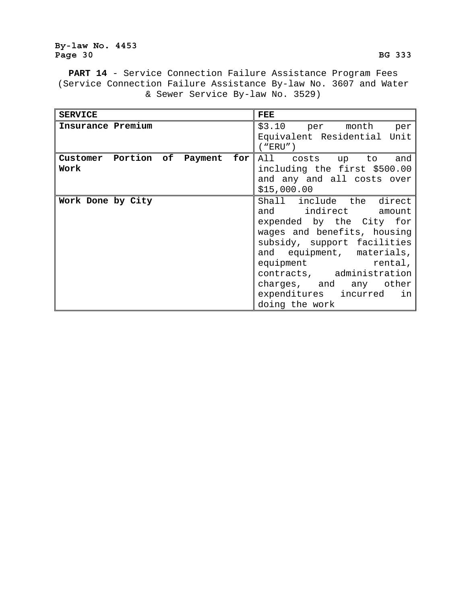### **By-law No. 4453**  Page 30 BG 333

**PART 14** - Service Connection Failure Assistance Program Fees (Service Connection Failure Assistance By-law No. 3607 and Water & Sewer Service By-law No. 3529)

| <b>SERVICE</b>                  | FEE                                                 |
|---------------------------------|-----------------------------------------------------|
| Insurance Premium               | \$3.10 per month per<br>Equivalent Residential Unit |
|                                 | ( "ERU" )                                           |
| Customer Portion of Payment for | All costs up to and                                 |
| Work                            | including the first \$500.00                        |
|                                 | and any and all costs over                          |
|                                 | \$15,000.00                                         |
| Work Done by City               | Shall include the direct                            |
|                                 | and indirect amount                                 |
|                                 | expended by the City for                            |
|                                 | wages and benefits, housing                         |
|                                 | subsidy, support facilities                         |
|                                 | and equipment, materials,                           |
|                                 | equipment rental,                                   |
|                                 | contracts, administration                           |
|                                 | charges, and any other                              |
|                                 | expenditures incurred<br>in                         |
|                                 | doing the work                                      |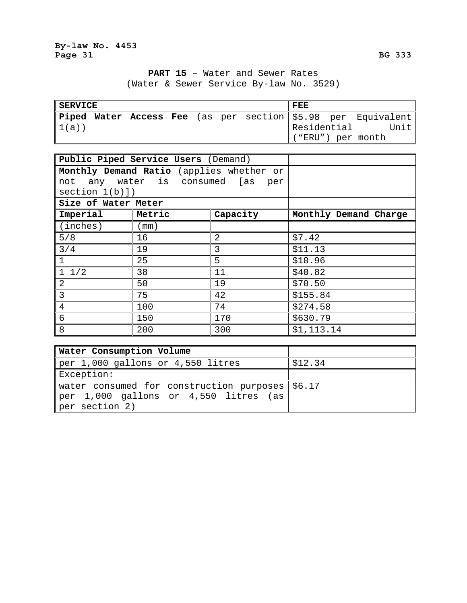**PART 15** – Water and Sewer Rates (Water & Sewer Service By-law No. 3529)

| <b>SERVICE</b> |  |  |  | FEE |  |             |  |                                                              |
|----------------|--|--|--|-----|--|-------------|--|--------------------------------------------------------------|
|                |  |  |  |     |  |             |  | Piped Water Access Fee (as per section \$5.98 per Equivalent |
| 1(a))          |  |  |  |     |  | Residential |  | Unit                                                         |
|                |  |  |  |     |  |             |  | ("ERU") per month                                            |

|                     | Public Piped Service Users (Demand)      |          |                       |
|---------------------|------------------------------------------|----------|-----------------------|
|                     | Monthly Demand Ratio (applies whether or |          |                       |
|                     | not any water is consumed [as            | per      |                       |
| section 1(b)]       |                                          |          |                       |
| Size of Water Meter |                                          |          |                       |
| Imperial            | Metric                                   | Capacity | Monthly Demand Charge |
| (inches)            | (mm )                                    |          |                       |
| 5/8                 | 16                                       | 2        | \$7.42                |
| 3/4                 | 19                                       | 3        | \$11.13               |
|                     | 25                                       | 5        | \$18.96               |
| $1 \t1/2$           | 38                                       | 11       | \$40.82               |
| 2                   | 50                                       | 19       | \$70.50               |
| $\overline{3}$      | 75                                       | 42       | \$155.84              |
| 4                   | 100                                      | 74       | \$274.58              |
| 6                   | 150                                      | 170      | \$630.79              |
| 8                   | 200                                      | 300      | \$1,113.14            |

| <b>Water Consumption Volume</b>                   |         |
|---------------------------------------------------|---------|
| per 1,000 gallons or 4,550 litres                 | \$12.34 |
| Exception:                                        |         |
| water consumed for construction purposes   \$6.17 |         |
| per 1,000 gallons or 4,550 litres (as)            |         |
| per section 2)                                    |         |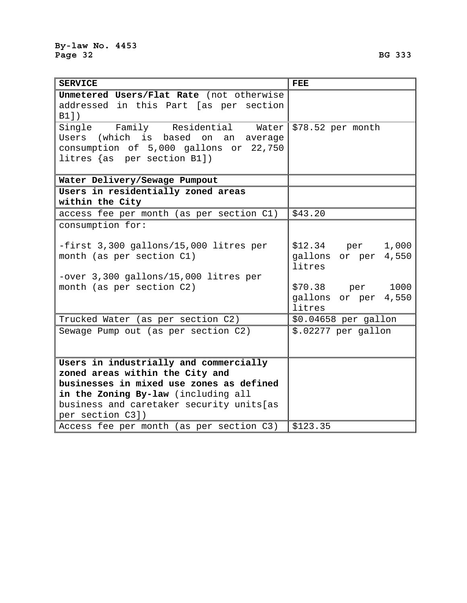| <b>SERVICE</b>                            | <b>FEE</b>           |
|-------------------------------------------|----------------------|
| Unmetered Users/Flat Rate (not otherwise  |                      |
| addressed in this Part [as per section    |                      |
| B1])                                      |                      |
| Single Family Residential Water           | \$78.52 per month    |
| Users (which is based on<br>an<br>average |                      |
| consumption of 5,000 gallons or 22,750    |                      |
| litres {as per section B1])               |                      |
|                                           |                      |
| Water Delivery/Sewage Pumpout             |                      |
| Users in residentially zoned areas        |                      |
| within the City                           |                      |
| access fee per month (as per section C1)  | \$43.20              |
| consumption for:                          |                      |
|                                           |                      |
| -first 3,300 gallons/15,000 litres per    | \$12.34 per<br>1,000 |
| month (as per section C1)                 | gallons or per 4,550 |
|                                           | litres               |
| -over 3,300 gallons/15,000 litres per     |                      |
| month (as per section C2)                 | \$70.38 per<br>1000  |
|                                           | gallons or per 4,550 |
|                                           | litres               |
| Trucked Water (as per section C2)         | \$0.04658 per gallon |
| Sewage Pump out (as per section C2)       | \$.02277 per gallon  |
|                                           |                      |
|                                           |                      |
| Users in industrially and commercially    |                      |
| zoned areas within the City and           |                      |
| businesses in mixed use zones as defined  |                      |
| in the Zoning By-law (including all       |                      |
| business and caretaker security units[as  |                      |
| per section C3])                          |                      |
| Access fee per month (as per section C3)  | \$123.35             |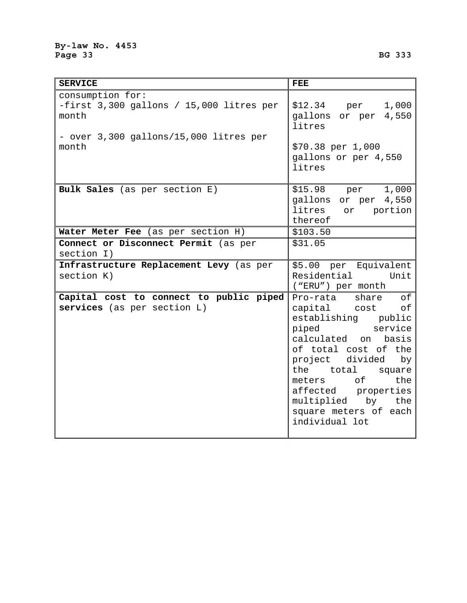| <b>SERVICE</b>                                                          | <b>FEE</b>                                                                                                                                                                                                                                                                                            |
|-------------------------------------------------------------------------|-------------------------------------------------------------------------------------------------------------------------------------------------------------------------------------------------------------------------------------------------------------------------------------------------------|
| consumption for:<br>-first $3,300$ gallons / 15,000 litres per<br>month | $$12.34$ per<br>1,000<br>gallons or per 4,550<br>litres                                                                                                                                                                                                                                               |
| - over 3,300 gallons/15,000 litres per<br>month                         | \$70.38 per 1,000<br>gallons or per 4,550<br>litres                                                                                                                                                                                                                                                   |
| Bulk Sales (as per section E)                                           | \$15.98 per 1,000<br>gallons or per 4,550<br>litres<br>or portion<br>thereof                                                                                                                                                                                                                          |
| Water Meter Fee (as per section H)                                      | \$103.50                                                                                                                                                                                                                                                                                              |
| Connect or Disconnect Permit (as per                                    | \$31.05                                                                                                                                                                                                                                                                                               |
| section I)                                                              |                                                                                                                                                                                                                                                                                                       |
| Infrastructure Replacement Levy (as per<br>section K)                   | \$5.00 per Equivalent<br>Residential<br>Unit<br>("ERU") per month                                                                                                                                                                                                                                     |
| Capital cost to connect to public piped<br>services (as per section L)  | share<br>оf<br>Pro-rata<br>capital cost of<br>establishing public<br>piped<br>service<br>calculated on<br>basis<br>of total cost of the<br>project divided<br>by<br>total<br>the<br>square<br>meters of<br>the<br>affected properties<br>multiplied by the<br>square meters of each<br>individual lot |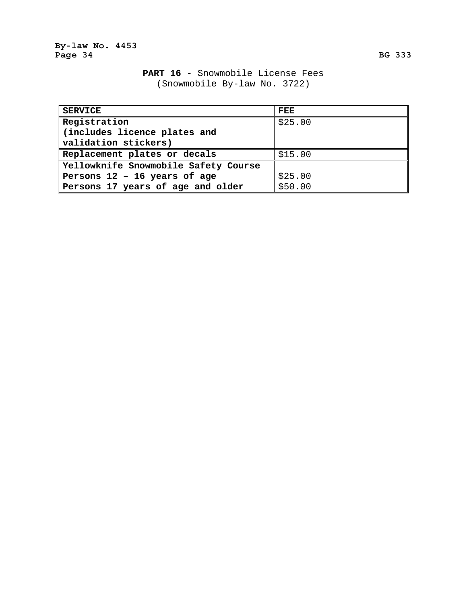|  |  |                              | PART 16 - Snowmobile License Fees |  |
|--|--|------------------------------|-----------------------------------|--|
|  |  | (Snowmobile By-law No. 3722) |                                   |  |

| <b>SERVICE</b>                       | FEE     |
|--------------------------------------|---------|
| Registration                         | \$25.00 |
| (includes licence plates and         |         |
| validation stickers)                 |         |
| Replacement plates or decals         | \$15.00 |
| Yellowknife Snowmobile Safety Course |         |
| Persons 12 - 16 years of age         | \$25.00 |
| Persons 17 years of age and older    | \$50.00 |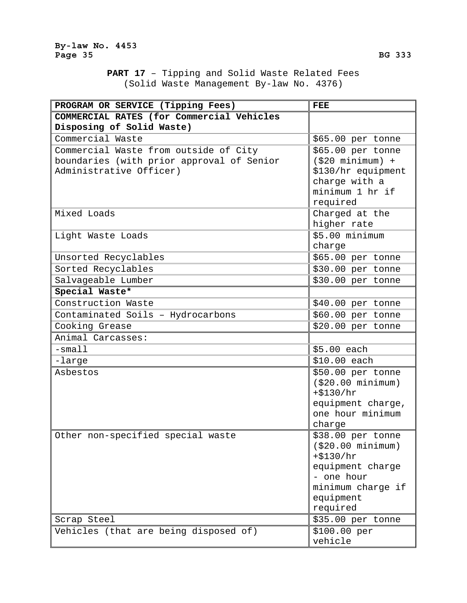**PART 17** – Tipping and Solid Waste Related Fees (Solid Waste Management By-law No. 4376)

| PROGRAM OR SERVICE (Tipping Fees)         | <b>FEE</b>         |
|-------------------------------------------|--------------------|
| COMMERCIAL RATES (for Commercial Vehicles |                    |
| Disposing of Solid Waste)                 |                    |
| Commercial Waste                          | \$65.00 per tonne  |
| Commercial Waste from outside of City     | \$65.00 per tonne  |
| boundaries (with prior approval of Senior | $( $20$ minimum) + |
| Administrative Officer)                   | \$130/hr equipment |
|                                           | charge with a      |
|                                           | minimum 1 hr if    |
|                                           | required           |
| Mixed Loads                               | Charged at the     |
|                                           | higher rate        |
| Light Waste Loads                         | \$5.00 minimum     |
|                                           | charge             |
| Unsorted Recyclables                      | \$65.00 per tonne  |
| Sorted Recyclables                        | \$30.00 per tonne  |
| Salvageable Lumber                        | \$30.00 per tonne  |
| Special Waste*                            |                    |
| Construction Waste                        | \$40.00 per tonne  |
| Contaminated Soils - Hydrocarbons         | \$60.00 per tonne  |
| Cooking Grease                            | \$20.00 per tonne  |
| Animal Carcasses:                         |                    |
| $-s$ mall                                 | \$5.00 each        |
| -large                                    | \$10.00 each       |
| Asbestos                                  | \$50.00 per tonne  |
|                                           | ( \$20.00 minimum) |
|                                           | $+ $130/hr$        |
|                                           | equipment charge,  |
|                                           | one hour minimum   |
|                                           | charge             |
| Other non-specified special waste         | \$38.00 per tonne  |
|                                           | ( \$20.00 minimum) |
|                                           | $+ $130/hr$        |
|                                           | equipment charge   |
|                                           | - one hour         |
|                                           | minimum charge if  |
|                                           | equipment          |
|                                           | required           |
| Scrap Steel                               | \$35.00 per tonne  |
| Vehicles (that are being disposed of)     | \$100.00 per       |
|                                           | vehicle            |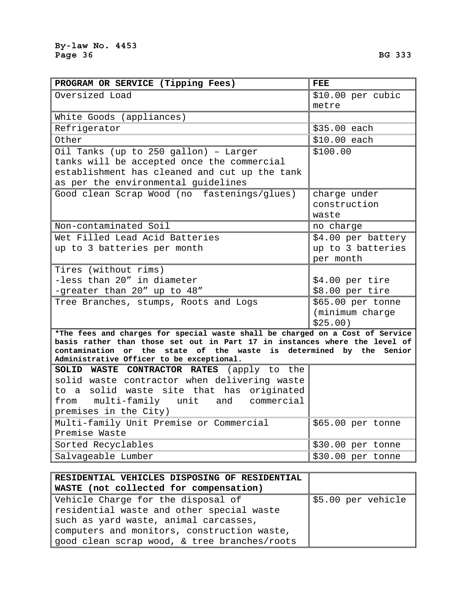| PROGRAM OR SERVICE (Tipping Fees)                                                                                                                           | FEE                |
|-------------------------------------------------------------------------------------------------------------------------------------------------------------|--------------------|
| Oversized Load                                                                                                                                              | \$10.00 per cubic  |
|                                                                                                                                                             | metre              |
| White Goods (appliances)                                                                                                                                    |                    |
| Refrigerator                                                                                                                                                | \$35.00 each       |
| Other                                                                                                                                                       | $$10.00$ each      |
| Oil Tanks (up to 250 gallon) - Larger                                                                                                                       | \$100.00           |
| tanks will be accepted once the commercial                                                                                                                  |                    |
| establishment has cleaned and cut up the tank                                                                                                               |                    |
| as per the environmental guidelines                                                                                                                         |                    |
| Good clean Scrap Wood (no fastenings/glues)                                                                                                                 | charge under       |
|                                                                                                                                                             | construction       |
|                                                                                                                                                             | waste              |
| Non-contaminated Soil                                                                                                                                       | no charge          |
| Wet Filled Lead Acid Batteries                                                                                                                              | \$4.00 per battery |
| up to 3 batteries per month                                                                                                                                 | up to 3 batteries  |
|                                                                                                                                                             | per month          |
| Tires (without rims)                                                                                                                                        |                    |
| -less than 20" in diameter                                                                                                                                  | $$4.00$ per tire   |
| -greater than 20" up to 48"                                                                                                                                 | \$8.00 per tire    |
| Tree Branches, stumps, Roots and Logs                                                                                                                       | \$65.00 per tonne  |
|                                                                                                                                                             | (minimum charge    |
|                                                                                                                                                             | \$25.00)           |
| *The fees and charges for special waste shall be charged on a Cost of Service<br>basis rather than those set out in Part 17 in instances where the level of |                    |
| contamination or the state of the waste is determined by the                                                                                                | Senior             |
| Administrative Officer to be exceptional.                                                                                                                   |                    |
| SOLID WASTE CONTRACTOR RATES (apply to the                                                                                                                  |                    |
| solid waste contractor when delivering waste                                                                                                                |                    |
| to a solid waste site that has originated                                                                                                                   |                    |
| from multi-family unit and commercial                                                                                                                       |                    |
| premises in the City)                                                                                                                                       |                    |
| Multi-family Unit Premise or Commercial                                                                                                                     | \$65.00 per tonne  |
| Premise Waste                                                                                                                                               |                    |
| Sorted Recyclables                                                                                                                                          | \$30.00 per tonne  |
| Salvageable Lumber                                                                                                                                          | \$30.00 per tonne  |

| RESIDENTIAL VEHICLES DISPOSING OF RESIDENTIAL |                    |
|-----------------------------------------------|--------------------|
| WASTE (not collected for compensation)        |                    |
| Vehicle Charge for the disposal of            | \$5.00 per vehicle |
| residential waste and other special waste     |                    |
| such as yard waste, animal carcasses,         |                    |
| computers and monitors, construction waste,   |                    |
| good clean scrap wood, & tree branches/roots  |                    |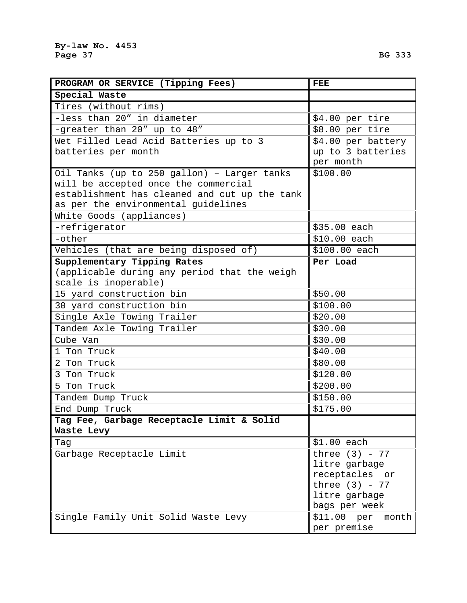| PROGRAM OR SERVICE (Tipping Fees)             | <b>FEE</b>              |
|-----------------------------------------------|-------------------------|
| Special Waste                                 |                         |
| Tires (without rims)                          |                         |
| -less than 20" in diameter                    | \$4.00 per tire         |
| -greater than 20" up to 48"                   | \$8.00 per tire         |
| Wet Filled Lead Acid Batteries up to 3        | \$4.00 per battery      |
| batteries per month                           | up to 3 batteries       |
|                                               | per month               |
| Oil Tanks (up to 250 gallon) - Larger tanks   | \$100.00                |
| will be accepted once the commercial          |                         |
| establishment has cleaned and cut up the tank |                         |
| as per the environmental guidelines           |                         |
| White Goods (appliances)                      |                         |
| -refrigerator                                 | \$35.00 each            |
| -other                                        | \$10.00 each            |
| Vehicles (that are being disposed of)         | \$100.00 each           |
| Supplementary Tipping Rates                   | Per Load                |
| (applicable during any period that the weigh  |                         |
| scale is inoperable)                          |                         |
| 15 yard construction bin                      | \$50.00                 |
| 30 yard construction bin                      | \$100.00                |
| Single Axle Towing Trailer                    | \$20.00                 |
| Tandem Axle Towing Trailer                    | \$30.00                 |
| Cube Van                                      | \$30.00                 |
| 1 Ton Truck                                   | \$40.00                 |
| 2 Ton Truck                                   | \$80.00                 |
| 3 Ton Truck                                   | \$120.00                |
| 5 Ton Truck                                   | \$200.00                |
| Tandem Dump Truck                             | \$150.00                |
| End Dump Truck                                | \$175.00                |
| Tag Fee, Garbage Receptacle Limit & Solid     |                         |
| Waste Levy                                    |                         |
| Tag                                           | $$1.00$ each            |
| Garbage Receptacle Limit                      | three $(3)$ - 77        |
|                                               | litre garbage           |
|                                               | receptacles or          |
|                                               | three $(3)$ - 77        |
|                                               | litre garbage           |
|                                               | bags per week           |
| Single Family Unit Solid Waste Levy           | \$11.00<br>per<br>month |

per premise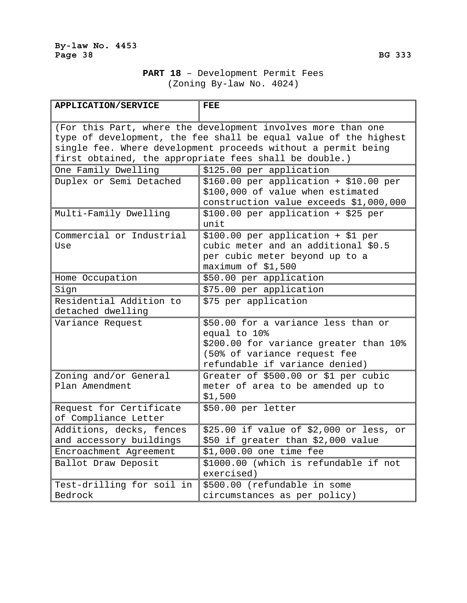| <b>APPLICATION/SERVICE</b> | <b>FEE</b>                                                       |
|----------------------------|------------------------------------------------------------------|
|                            |                                                                  |
|                            | (For this Part, where the development involves more than one     |
|                            | type of development, the fee shall be equal value of the highest |
|                            | single fee. Where development proceeds without a permit being    |
|                            | first obtained, the appropriate fees shall be double.)           |
| One Family Dwelling        | \$125.00 per application                                         |
| Duplex or Semi Detached    | $$160.00$ per application + \$10.00 per                          |
|                            | \$100,000 of value when estimated                                |
|                            | construction value exceeds \$1,000,000                           |
| Multi-Family Dwelling      | \$100.00 per application + \$25 per                              |
|                            | unit                                                             |
| Commercial or Industrial   | \$100.00 per application + \$1 per                               |
| Use                        | cubic meter and an additional \$0.5                              |
|                            | per cubic meter beyond up to a                                   |
|                            | maximum of \$1,500                                               |
| Home Occupation            | \$50.00 per application                                          |
| Sign                       | \$75.00 per application                                          |
| Residential Addition to    | \$75 per application                                             |
| detached dwelling          |                                                                  |
| Variance Request           | \$50.00 for a variance less than or                              |
|                            | equal to 10%                                                     |
|                            | \$200.00 for variance greater than 10%                           |
|                            | (50% of variance request fee                                     |
|                            | refundable if variance denied)                                   |
| Zoning and/or General      | Greater of \$500.00 or \$1 per cubic                             |
| Plan Amendment             | meter of area to be amended up to                                |
|                            | \$1,500                                                          |
| Request for Certificate    | \$50.00 per letter                                               |
| of Compliance Letter       |                                                                  |
| Additions, decks, fences   | \$25.00 if value of \$2,000 or less, or                          |
| and accessory buildings    | \$50 if greater than \$2,000 value                               |
| Encroachment Agreement     | \$1,000.00 one time fee                                          |
| Ballot Draw Deposit        | \$1000.00 (which is refundable if not                            |
|                            | exercised)                                                       |
| Test-drilling for soil in  | \$500.00 (refundable in some                                     |
| Bedrock                    | circumstances as per policy)                                     |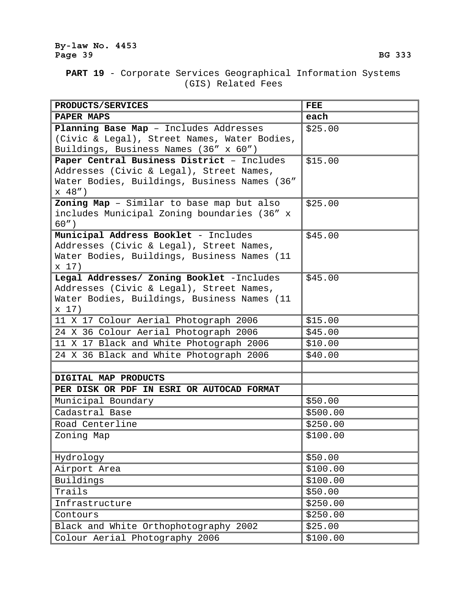# **PART 19** - Corporate Services Geographical Information Systems (GIS) Related Fees

| PRODUCTS/SERVICES                                                                       | <b>FEE</b> |
|-----------------------------------------------------------------------------------------|------------|
| PAPER MAPS                                                                              | each       |
| Planning Base Map - Includes Addresses                                                  | \$25.00    |
| (Civic & Legal), Street Names, Water Bodies,                                            |            |
| Buildings, Business Names (36" x 60")                                                   |            |
| Paper Central Business District - Includes                                              | \$15.00    |
| Addresses (Civic & Legal), Street Names,                                                |            |
| Water Bodies, Buildings, Business Names (36"                                            |            |
| x 48")                                                                                  |            |
| Zoning Map - Similar to base map but also                                               | \$25.00    |
| includes Municipal Zoning boundaries (36" x                                             |            |
| $60"$ )                                                                                 |            |
| Municipal Address Booklet - Includes                                                    | \$45.00    |
| Addresses (Civic & Legal), Street Names,<br>Water Bodies, Buildings, Business Names (11 |            |
| x 17)                                                                                   |            |
| Legal Addresses/ Zoning Booklet -Includes                                               | \$45.00    |
| Addresses (Civic & Legal), Street Names,                                                |            |
| Water Bodies, Buildings, Business Names (11                                             |            |
| x 17)                                                                                   |            |
| 11 X 17 Colour Aerial Photograph 2006                                                   | \$15.00    |
| 24 X 36 Colour Aerial Photograph 2006                                                   | \$45.00    |
| 11 X 17 Black and White Photograph 2006                                                 | \$10.00    |
| 24 X 36 Black and White Photograph 2006                                                 | \$40.00    |
|                                                                                         |            |
| DIGITAL MAP PRODUCTS                                                                    |            |
| PER DISK OR PDF IN ESRI OR AUTOCAD FORMAT                                               |            |
| Municipal Boundary                                                                      | \$50.00    |
| Cadastral Base                                                                          | \$500.00   |
| Road Centerline                                                                         | \$250.00   |
| Zoning Map                                                                              | \$100.00   |
|                                                                                         |            |
| Hydrology                                                                               | \$50.00    |
| Airport Area                                                                            | \$100.00   |
| Buildings                                                                               | \$100.00   |
| Trails                                                                                  | \$50.00    |
| Infrastructure                                                                          | \$250.00   |
| Contours                                                                                | \$250.00   |
| Black and White Orthophotography 2002                                                   | \$25.00    |
| Colour Aerial Photography 2006                                                          | \$100.00   |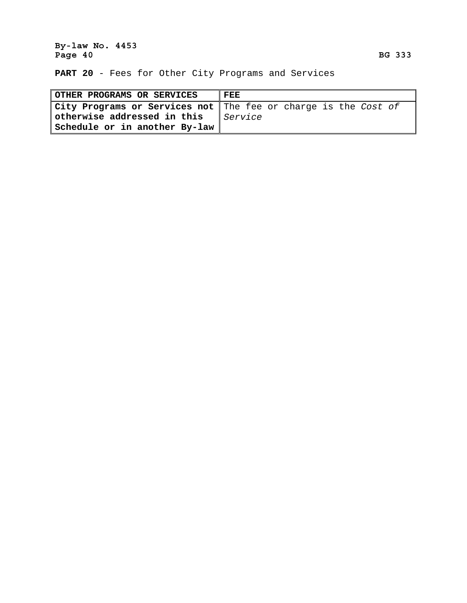### **By-law No. 4453**  Page 40 BG 333 **BG 333**

**PART 20** - Fees for Other City Programs and Services

| <b>OTHER PROGRAMS OR SERVICES</b> | <b>FEE</b>                                                       |
|-----------------------------------|------------------------------------------------------------------|
|                                   | City Programs or Services not   The fee or charge is the Cost of |
| otherwise addressed in this       | <i>Service</i>                                                   |
| Schedule or in another By-law     |                                                                  |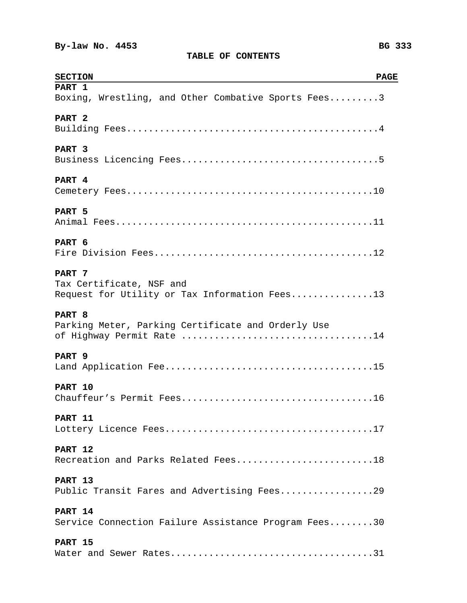| <b>SECTION</b><br><b>PAGE</b>                        |
|------------------------------------------------------|
| PART 1                                               |
| Boxing, Wrestling, and Other Combative Sports Fees3  |
| PART <sub>2</sub>                                    |
|                                                      |
| PART <sub>3</sub>                                    |
|                                                      |
| PART 4                                               |
|                                                      |
| PART 5                                               |
|                                                      |
| PART 6                                               |
|                                                      |
| PART 7                                               |
| Tax Certificate, NSF and                             |
| Request for Utility or Tax Information Fees13        |
| PART 8                                               |
| Parking Meter, Parking Certificate and Orderly Use   |
|                                                      |
| PART 9                                               |
|                                                      |
| PART 10                                              |
|                                                      |
| PART 11                                              |
|                                                      |
| PART 12                                              |
| Recreation and Parks Related Fees18                  |
| PART 13                                              |
| Public Transit Fares and Advertising Fees29          |
| PART 14                                              |
| Service Connection Failure Assistance Program Fees30 |
| PART 15                                              |
|                                                      |